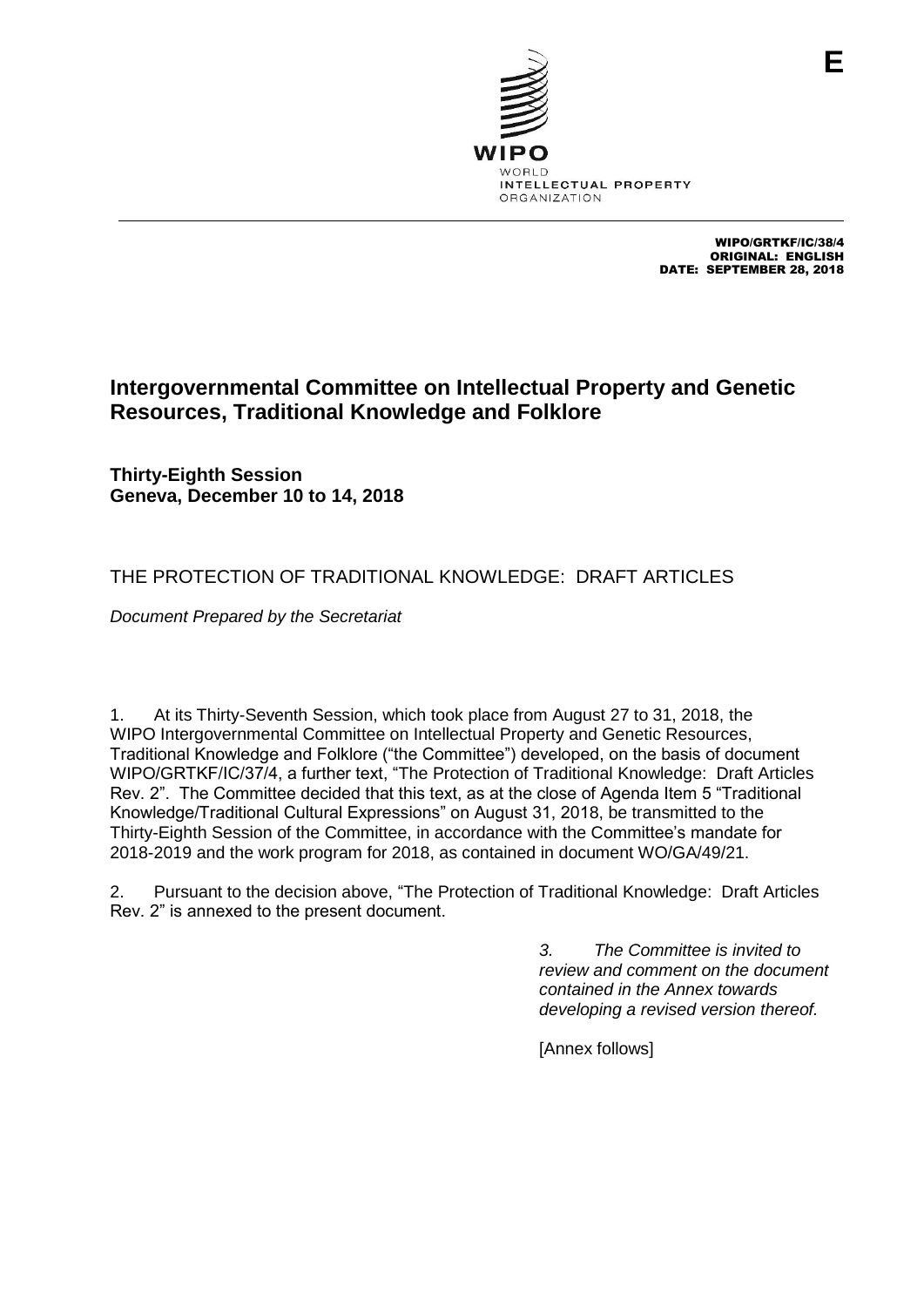

WIPO/GRTKF/IC/38/4 ORIGINAL: ENGLISH DATE: SEPTEMBER 28, 2018

# **Intergovernmental Committee on Intellectual Property and Genetic Resources, Traditional Knowledge and Folklore**

**Thirty-Eighth Session Geneva, December 10 to 14, 2018**

# THE PROTECTION OF TRADITIONAL KNOWLEDGE: DRAFT ARTICLES

*Document Prepared by the Secretariat*

1. At its Thirty-Seventh Session, which took place from August 27 to 31, 2018, the WIPO Intergovernmental Committee on Intellectual Property and Genetic Resources, Traditional Knowledge and Folklore ("the Committee") developed, on the basis of document WIPO/GRTKF/IC/37/4, a further text, "The Protection of Traditional Knowledge: Draft Articles Rev. 2". The Committee decided that this text, as at the close of Agenda Item 5 "Traditional Knowledge/Traditional Cultural Expressions" on August 31, 2018, be transmitted to the Thirty-Eighth Session of the Committee, in accordance with the Committee's mandate for 2018-2019 and the work program for 2018, as contained in document WO/GA/49/21.

2. Pursuant to the decision above, "The Protection of Traditional Knowledge: Draft Articles Rev. 2" is annexed to the present document.

> *3. The Committee is invited to review and comment on the document contained in the Annex towards developing a revised version thereof.*

[Annex follows]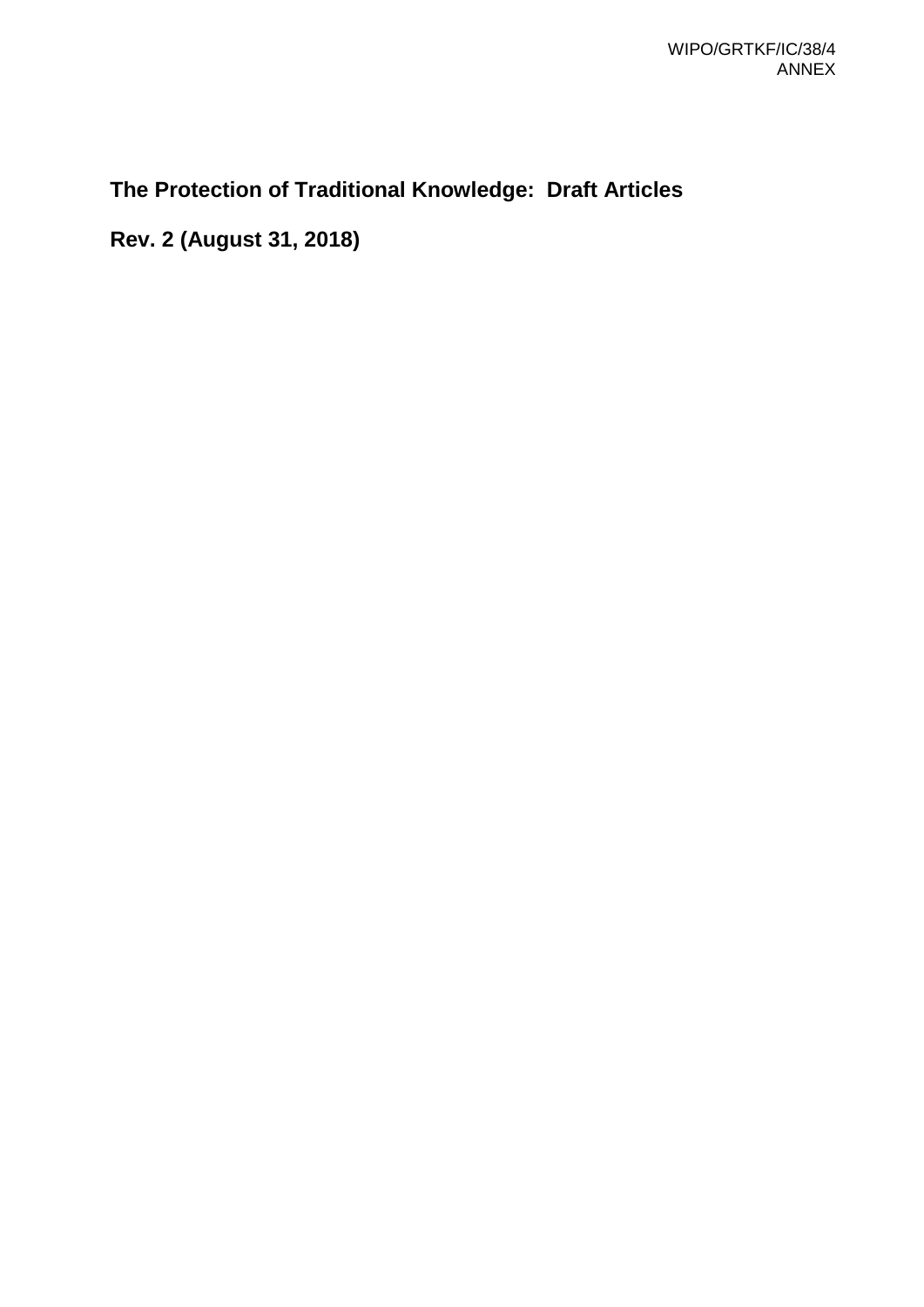# **The Protection of Traditional Knowledge: Draft Articles**

**Rev. 2 (August 31, 2018)**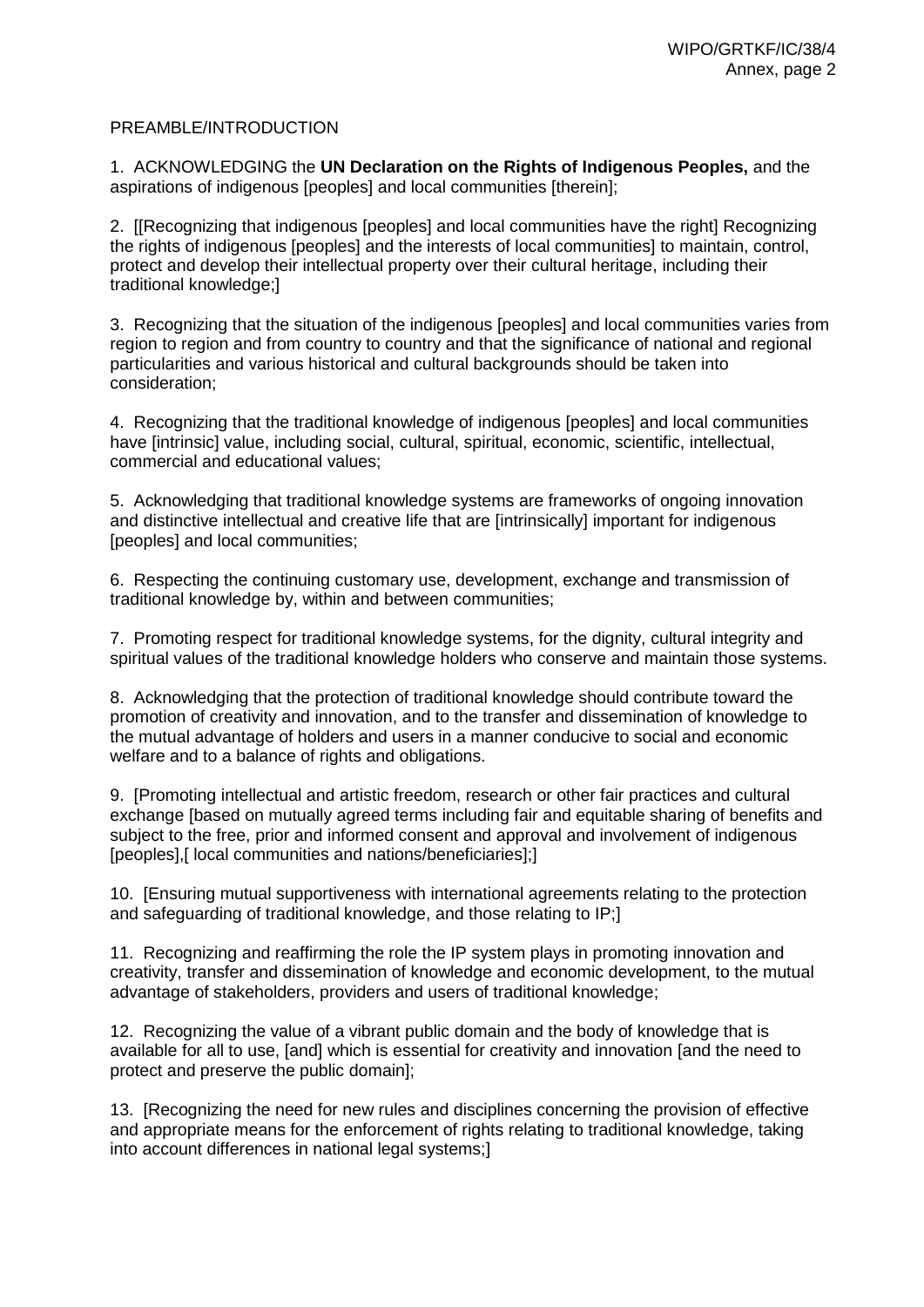#### PREAMBLE/INTRODUCTION

1. ACKNOWLEDGING the **UN Declaration on the Rights of Indigenous Peoples,** and the aspirations of indigenous [peoples] and local communities [therein];

2. [[Recognizing that indigenous [peoples] and local communities have the right] Recognizing the rights of indigenous [peoples] and the interests of local communities] to maintain, control, protect and develop their intellectual property over their cultural heritage, including their traditional knowledge;]

3. Recognizing that the situation of the indigenous [peoples] and local communities varies from region to region and from country to country and that the significance of national and regional particularities and various historical and cultural backgrounds should be taken into consideration;

4. Recognizing that the traditional knowledge of indigenous [peoples] and local communities have [intrinsic] value, including social, cultural, spiritual, economic, scientific, intellectual, commercial and educational values;

5. Acknowledging that traditional knowledge systems are frameworks of ongoing innovation and distinctive intellectual and creative life that are [intrinsically] important for indigenous [peoples] and local communities;

6. Respecting the continuing customary use, development, exchange and transmission of traditional knowledge by, within and between communities;

7. Promoting respect for traditional knowledge systems, for the dignity, cultural integrity and spiritual values of the traditional knowledge holders who conserve and maintain those systems.

8. Acknowledging that the protection of traditional knowledge should contribute toward the promotion of creativity and innovation, and to the transfer and dissemination of knowledge to the mutual advantage of holders and users in a manner conducive to social and economic welfare and to a balance of rights and obligations.

9. [Promoting intellectual and artistic freedom, research or other fair practices and cultural exchange [based on mutually agreed terms including fair and equitable sharing of benefits and subject to the free, prior and informed consent and approval and involvement of indigenous [peoples],[ local communities and nations/beneficiaries];]

10. [Ensuring mutual supportiveness with international agreements relating to the protection and safeguarding of traditional knowledge, and those relating to IP;]

11. Recognizing and reaffirming the role the IP system plays in promoting innovation and creativity, transfer and dissemination of knowledge and economic development, to the mutual advantage of stakeholders, providers and users of traditional knowledge;

12. Recognizing the value of a vibrant public domain and the body of knowledge that is available for all to use, [and] which is essential for creativity and innovation [and the need to protect and preserve the public domain];

13. [Recognizing the need for new rules and disciplines concerning the provision of effective and appropriate means for the enforcement of rights relating to traditional knowledge, taking into account differences in national legal systems;]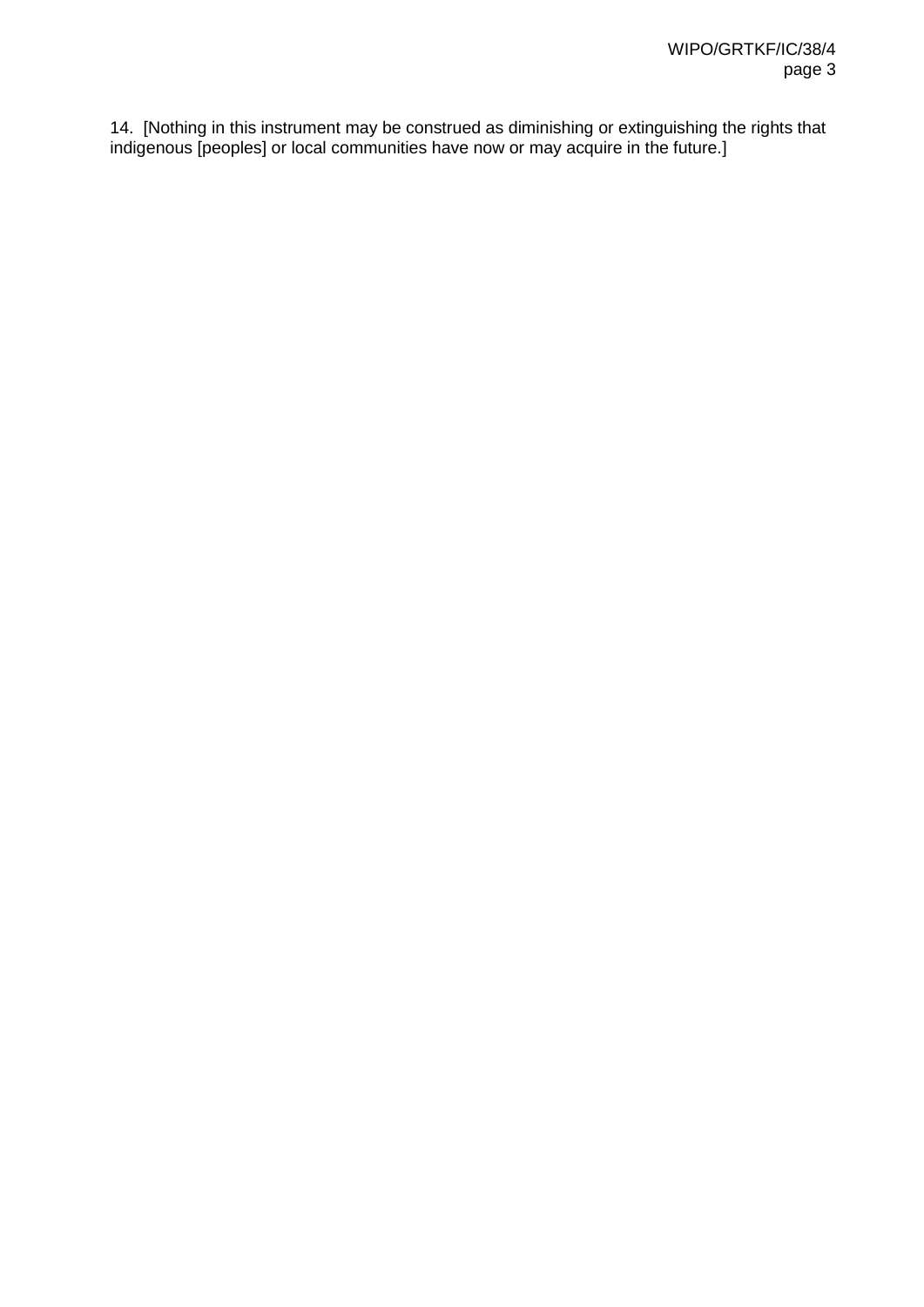14. [Nothing in this instrument may be construed as diminishing or extinguishing the rights that indigenous [peoples] or local communities have now or may acquire in the future.]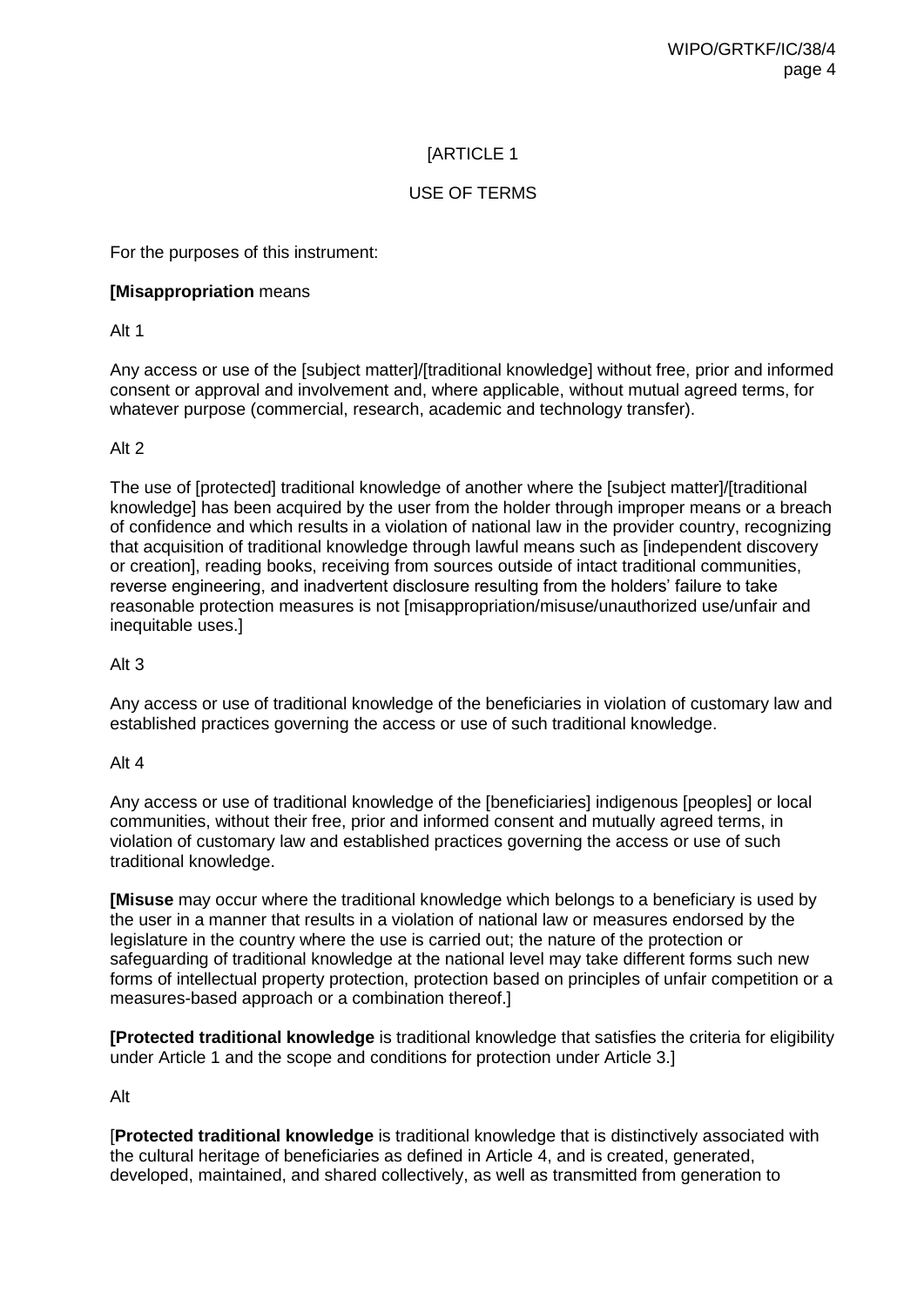### USE OF TERMS

For the purposes of this instrument:

### **[Misappropriation** means

Alt 1

Any access or use of the [subject matter]/[traditional knowledge] without free, prior and informed consent or approval and involvement and, where applicable, without mutual agreed terms, for whatever purpose (commercial, research, academic and technology transfer).

### Alt 2

The use of [protected] traditional knowledge of another where the [subject matter]/[traditional knowledge] has been acquired by the user from the holder through improper means or a breach of confidence and which results in a violation of national law in the provider country, recognizing that acquisition of traditional knowledge through lawful means such as [independent discovery or creation], reading books, receiving from sources outside of intact traditional communities, reverse engineering, and inadvertent disclosure resulting from the holders' failure to take reasonable protection measures is not [misappropriation/misuse/unauthorized use/unfair and inequitable uses.]

### Alt 3

Any access or use of traditional knowledge of the beneficiaries in violation of customary law and established practices governing the access or use of such traditional knowledge.

#### Alt 4

Any access or use of traditional knowledge of the [beneficiaries] indigenous [peoples] or local communities, without their free, prior and informed consent and mutually agreed terms, in violation of customary law and established practices governing the access or use of such traditional knowledge.

**[Misuse** may occur where the traditional knowledge which belongs to a beneficiary is used by the user in a manner that results in a violation of national law or measures endorsed by the legislature in the country where the use is carried out; the nature of the protection or safeguarding of traditional knowledge at the national level may take different forms such new forms of intellectual property protection, protection based on principles of unfair competition or a measures-based approach or a combination thereof.]

**[Protected traditional knowledge** is traditional knowledge that satisfies the criteria for eligibility under Article 1 and the scope and conditions for protection under Article 3.]

### Alt

[**Protected traditional knowledge** is traditional knowledge that is distinctively associated with the cultural heritage of beneficiaries as defined in Article 4, and is created, generated, developed, maintained, and shared collectively, as well as transmitted from generation to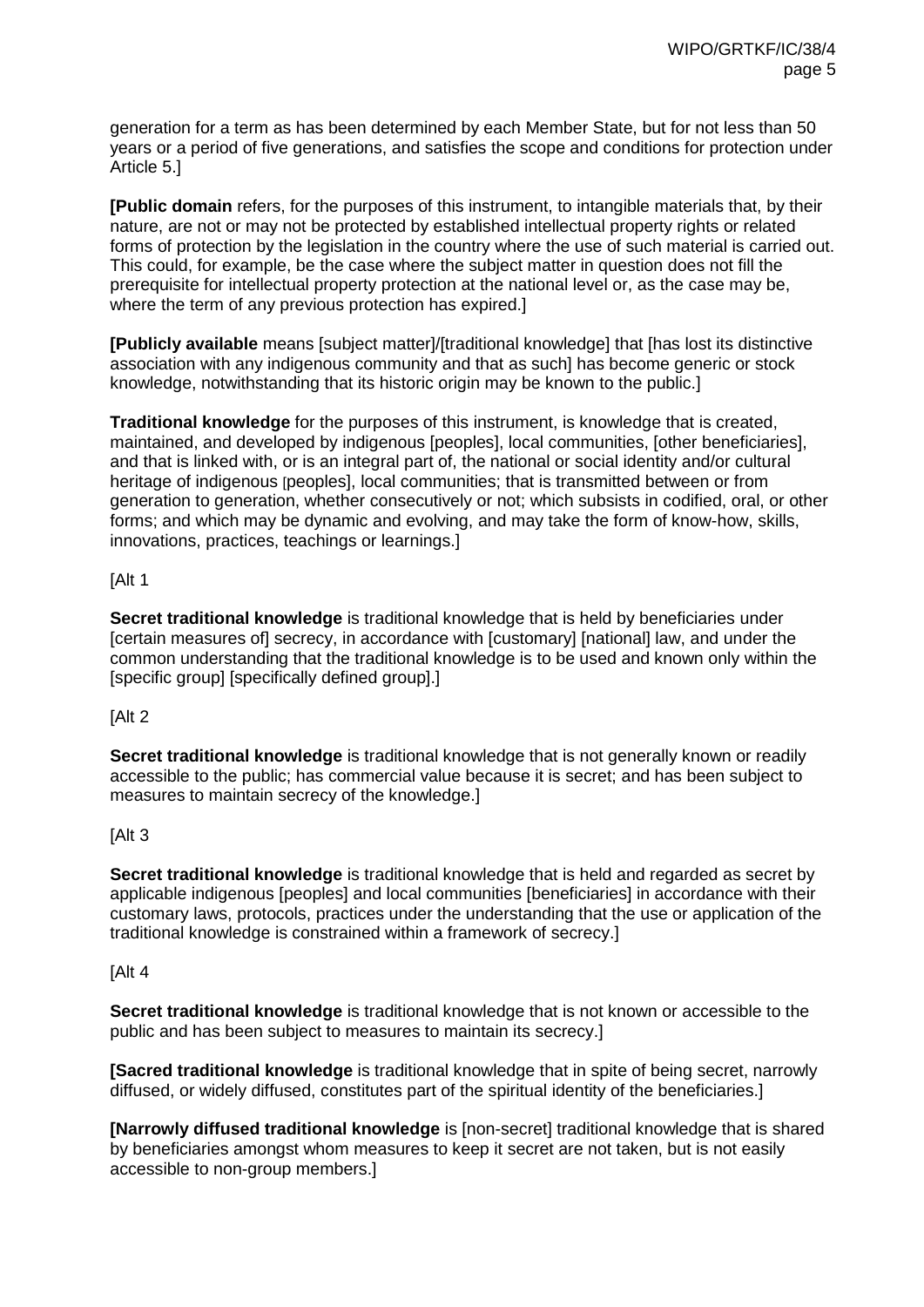generation for a term as has been determined by each Member State, but for not less than 50 years or a period of five generations, and satisfies the scope and conditions for protection under Article 5.]

**[Public domain** refers, for the purposes of this instrument, to intangible materials that, by their nature, are not or may not be protected by established intellectual property rights or related forms of protection by the legislation in the country where the use of such material is carried out. This could, for example, be the case where the subject matter in question does not fill the prerequisite for intellectual property protection at the national level or, as the case may be, where the term of any previous protection has expired.

**[Publicly available** means [subject matter]/[traditional knowledge] that [has lost its distinctive association with any indigenous community and that as such] has become generic or stock knowledge, notwithstanding that its historic origin may be known to the public.]

**Traditional knowledge** for the purposes of this instrument, is knowledge that is created, maintained, and developed by indigenous [peoples], local communities, [other beneficiaries], and that is linked with, or is an integral part of, the national or social identity and/or cultural heritage of indigenous [peoples], local communities; that is transmitted between or from generation to generation, whether consecutively or not; which subsists in codified, oral, or other forms; and which may be dynamic and evolving, and may take the form of know-how, skills, innovations, practices, teachings or learnings.]

### [Alt 1

**Secret traditional knowledge** is traditional knowledge that is held by beneficiaries under [certain measures of] secrecy, in accordance with [customary] [national] law, and under the common understanding that the traditional knowledge is to be used and known only within the [specific group] [specifically defined group].]

#### [Alt 2

**Secret traditional knowledge** is traditional knowledge that is not generally known or readily accessible to the public; has commercial value because it is secret; and has been subject to measures to maintain secrecy of the knowledge.]

#### [Alt 3

**Secret traditional knowledge** is traditional knowledge that is held and regarded as secret by applicable indigenous [peoples] and local communities [beneficiaries] in accordance with their customary laws, protocols, practices under the understanding that the use or application of the traditional knowledge is constrained within a framework of secrecy.]

#### [Alt 4

**Secret traditional knowledge** is traditional knowledge that is not known or accessible to the public and has been subject to measures to maintain its secrecy.]

**[Sacred traditional knowledge** is traditional knowledge that in spite of being secret, narrowly diffused, or widely diffused, constitutes part of the spiritual identity of the beneficiaries.]

**[Narrowly diffused traditional knowledge** is [non-secret] traditional knowledge that is shared by beneficiaries amongst whom measures to keep it secret are not taken, but is not easily accessible to non-group members.]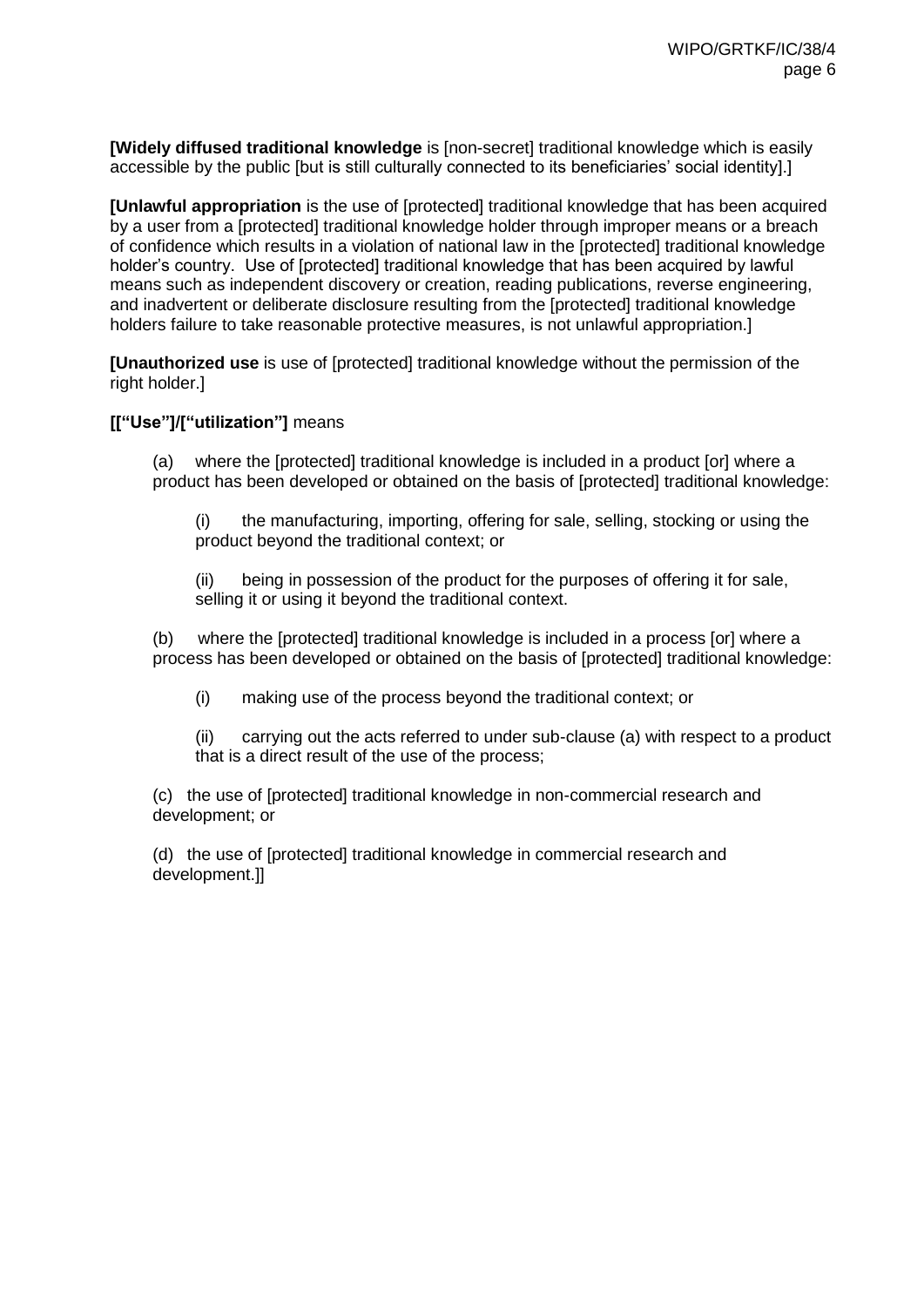**[Widely diffused traditional knowledge** is [non-secret] traditional knowledge which is easily accessible by the public [but is still culturally connected to its beneficiaries' social identity].]

**[Unlawful appropriation** is the use of [protected] traditional knowledge that has been acquired by a user from a [protected] traditional knowledge holder through improper means or a breach of confidence which results in a violation of national law in the [protected] traditional knowledge holder's country. Use of [protected] traditional knowledge that has been acquired by lawful means such as independent discovery or creation, reading publications, reverse engineering, and inadvertent or deliberate disclosure resulting from the [protected] traditional knowledge holders failure to take reasonable protective measures, is not unlawful appropriation.]

**[Unauthorized use** is use of [protected] traditional knowledge without the permission of the right holder.]

### **[["Use"]/["utilization"]** means

(a) where the [protected] traditional knowledge is included in a product [or] where a product has been developed or obtained on the basis of [protected] traditional knowledge:

(i) the manufacturing, importing, offering for sale, selling, stocking or using the product beyond the traditional context; or

(ii) being in possession of the product for the purposes of offering it for sale, selling it or using it beyond the traditional context.

(b) where the [protected] traditional knowledge is included in a process [or] where a process has been developed or obtained on the basis of [protected] traditional knowledge:

(i) making use of the process beyond the traditional context; or

(ii) carrying out the acts referred to under sub-clause (a) with respect to a product that is a direct result of the use of the process;

(c) the use of [protected] traditional knowledge in non-commercial research and development; or

(d) the use of [protected] traditional knowledge in commercial research and development.]]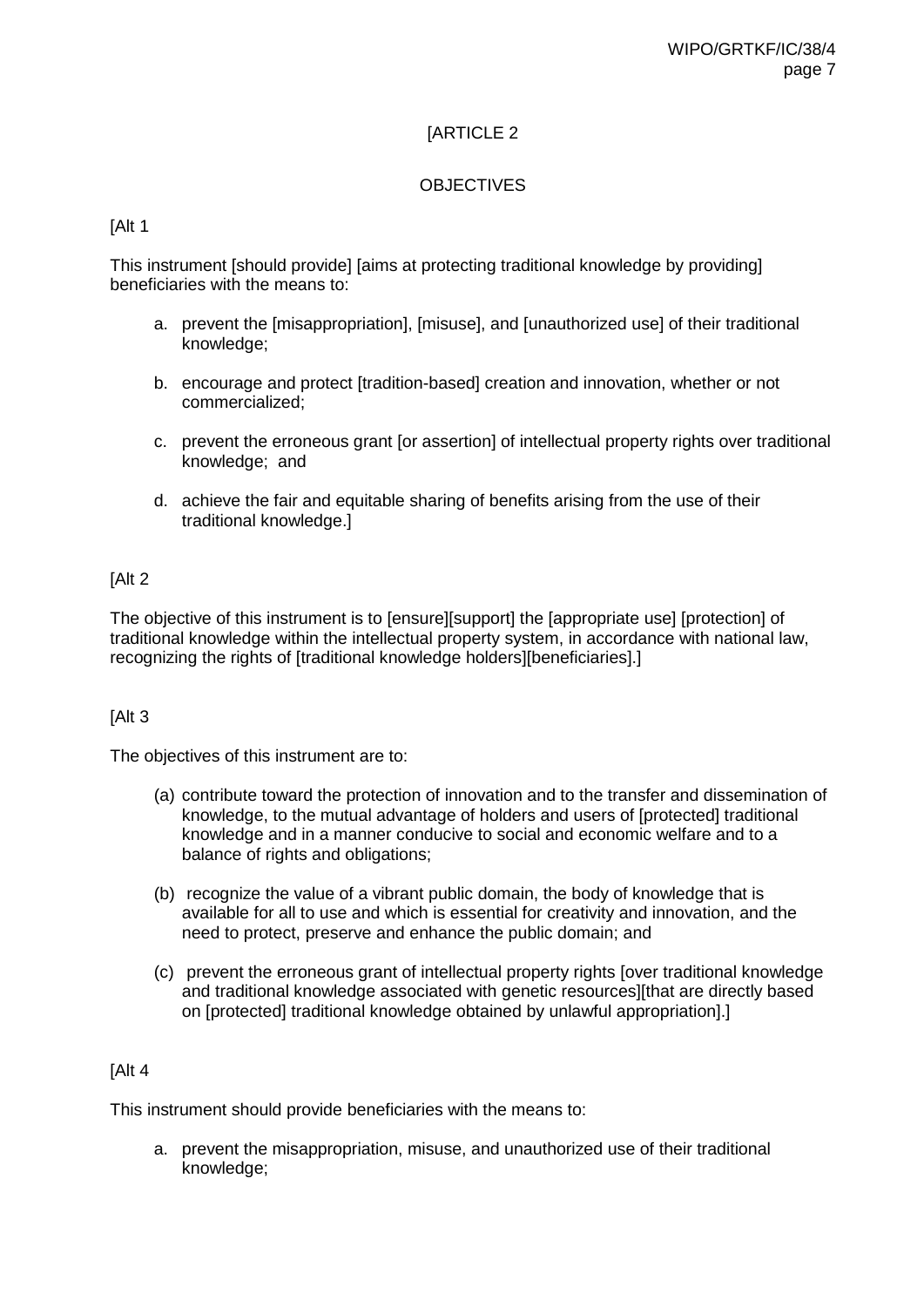### **OBJECTIVES**

### [Alt 1

This instrument [should provide] [aims at protecting traditional knowledge by providing] beneficiaries with the means to:

- a. prevent the [misappropriation], [misuse], and [unauthorized use] of their traditional knowledge;
- b. encourage and protect [tradition-based] creation and innovation, whether or not commercialized;
- c. prevent the erroneous grant [or assertion] of intellectual property rights over traditional knowledge; and
- d. achieve the fair and equitable sharing of benefits arising from the use of their traditional knowledge.]

#### [Alt 2

The objective of this instrument is to [ensure][support] the [appropriate use] [protection] of traditional knowledge within the intellectual property system, in accordance with national law, recognizing the rights of [traditional knowledge holders][beneficiaries].]

#### [Alt 3

The objectives of this instrument are to:

- (a) contribute toward the protection of innovation and to the transfer and dissemination of knowledge, to the mutual advantage of holders and users of [protected] traditional knowledge and in a manner conducive to social and economic welfare and to a balance of rights and obligations;
- (b) recognize the value of a vibrant public domain, the body of knowledge that is available for all to use and which is essential for creativity and innovation, and the need to protect, preserve and enhance the public domain; and
- (c) prevent the erroneous grant of intellectual property rights [over traditional knowledge and traditional knowledge associated with genetic resources][that are directly based on [protected] traditional knowledge obtained by unlawful appropriation].]

#### [Alt 4

This instrument should provide beneficiaries with the means to:

a. prevent the misappropriation, misuse, and unauthorized use of their traditional knowledge;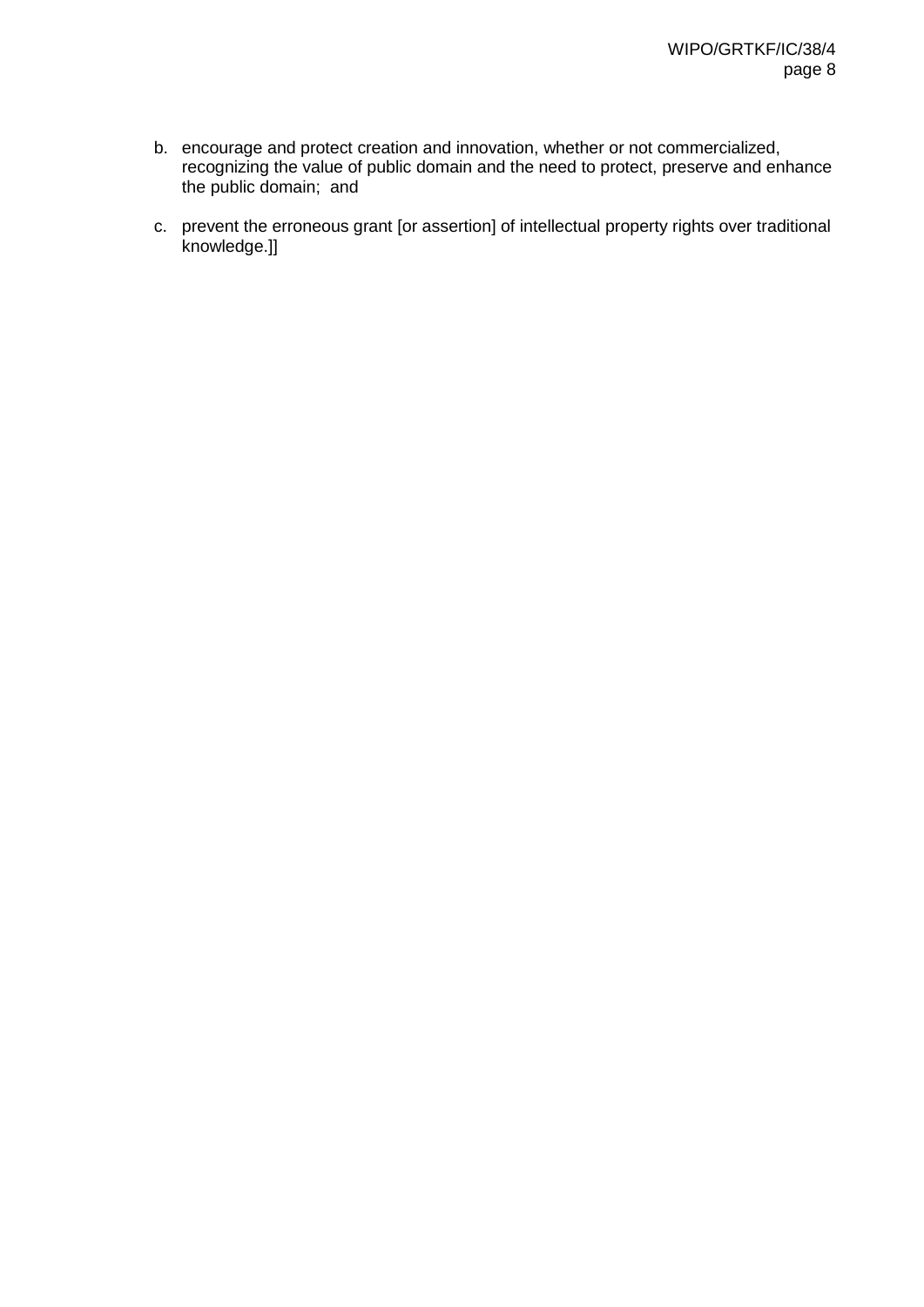- b. encourage and protect creation and innovation, whether or not commercialized, recognizing the value of public domain and the need to protect, preserve and enhance the public domain; and
- c. prevent the erroneous grant [or assertion] of intellectual property rights over traditional knowledge.]]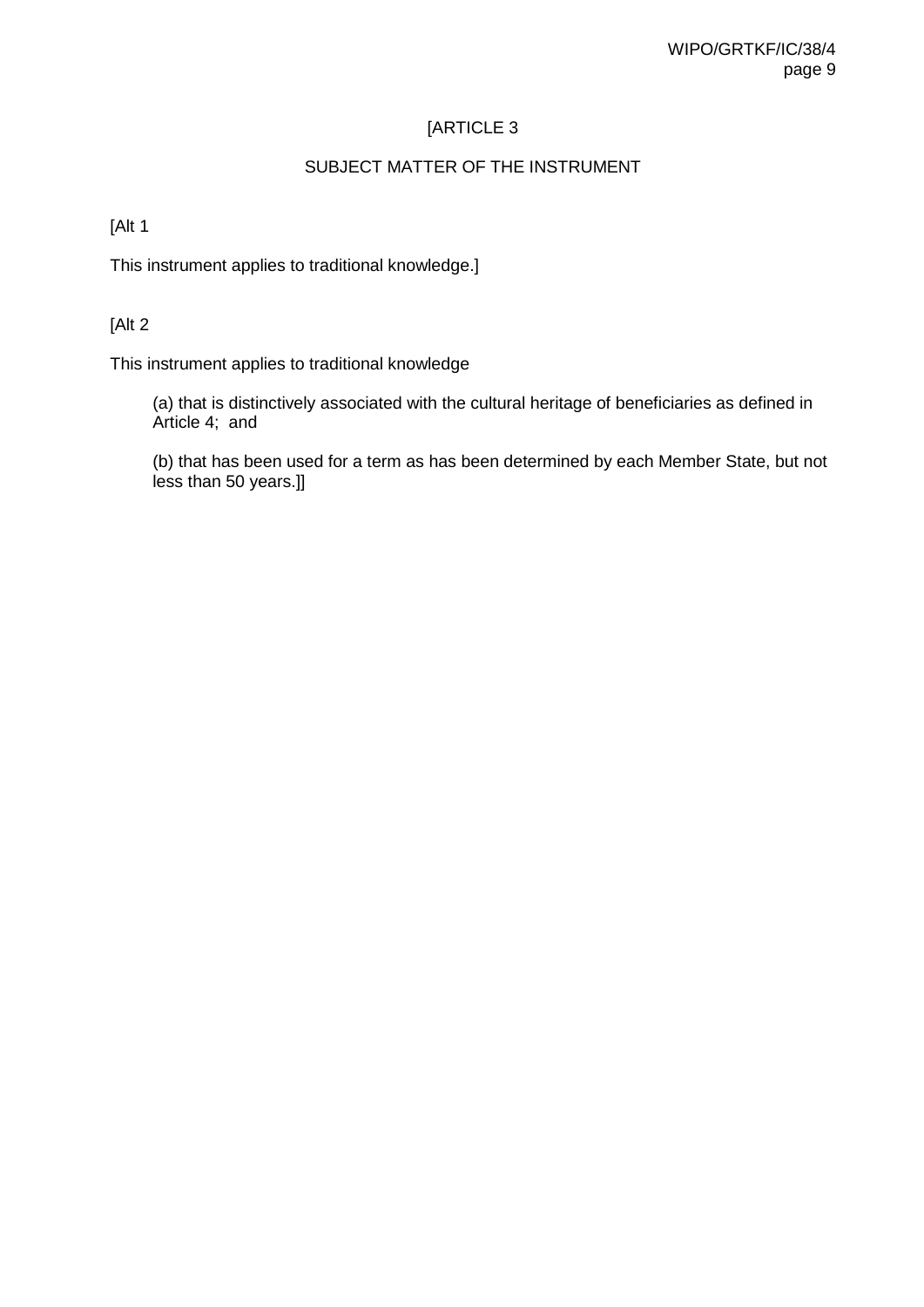### SUBJECT MATTER OF THE INSTRUMENT

### [Alt 1

This instrument applies to traditional knowledge.]

### [Alt 2

This instrument applies to traditional knowledge

(a) that is distinctively associated with the cultural heritage of beneficiaries as defined in Article 4; and

(b) that has been used for a term as has been determined by each Member State, but not less than 50 years.]]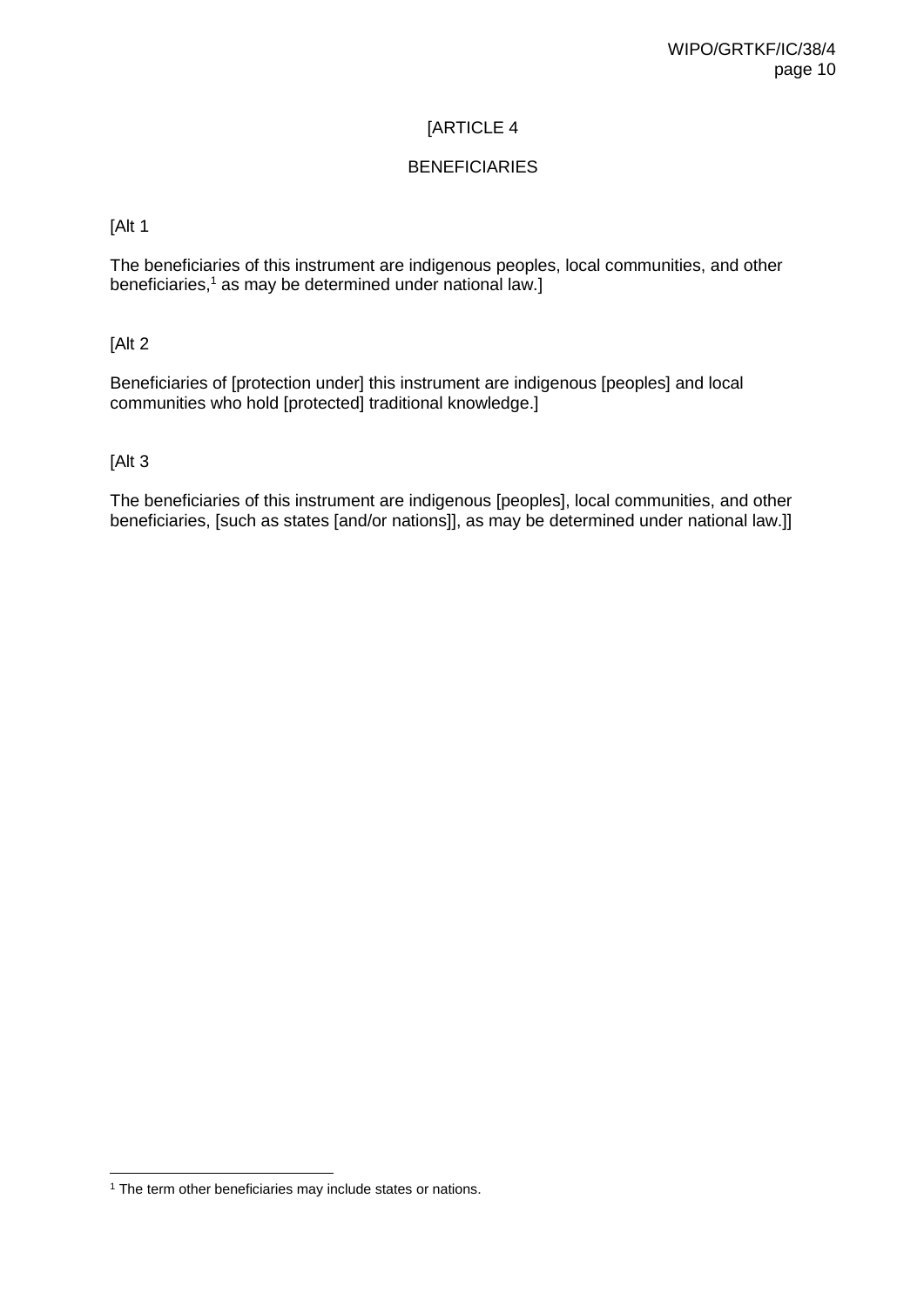### BENEFICIARIES

#### [Alt 1

The beneficiaries of this instrument are indigenous peoples, local communities, and other beneficiaries, $1$  as may be determined under national law.]

[Alt 2

Beneficiaries of [protection under] this instrument are indigenous [peoples] and local communities who hold [protected] traditional knowledge.]

#### [Alt 3

The beneficiaries of this instrument are indigenous [peoples], local communities, and other beneficiaries, [such as states [and/or nations]], as may be determined under national law.]]

<sup>&</sup>lt;sup>1</sup> The term other beneficiaries may include states or nations.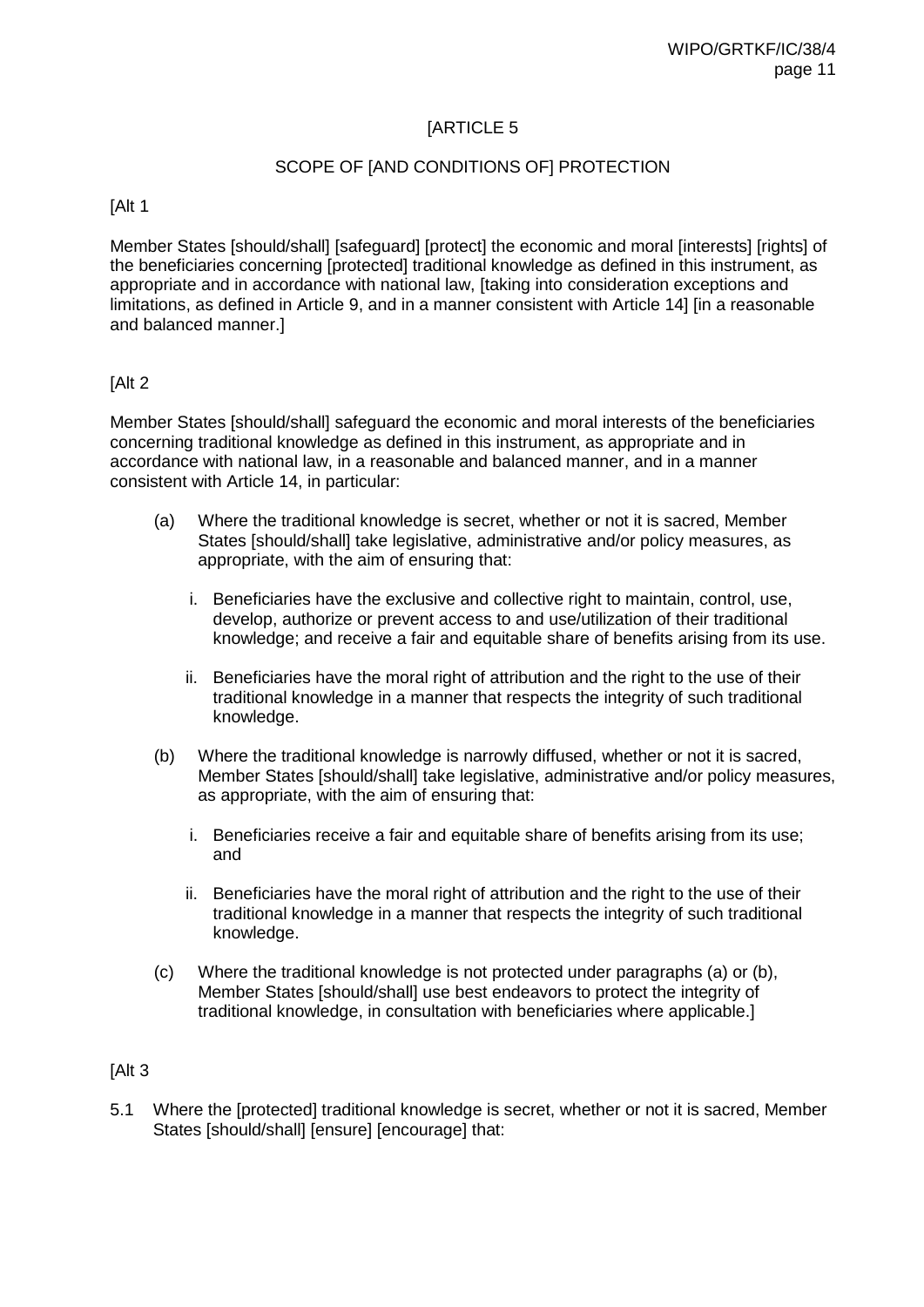### SCOPE OF [AND CONDITIONS OF] PROTECTION

[Alt 1

Member States [should/shall] [safeguard] [protect] the economic and moral [interests] [rights] of the beneficiaries concerning [protected] traditional knowledge as defined in this instrument, as appropriate and in accordance with national law, [taking into consideration exceptions and limitations, as defined in Article 9, and in a manner consistent with Article 14] [in a reasonable and balanced manner.]

#### [Alt 2]

Member States [should/shall] safeguard the economic and moral interests of the beneficiaries concerning traditional knowledge as defined in this instrument, as appropriate and in accordance with national law, in a reasonable and balanced manner, and in a manner consistent with Article 14, in particular:

- (a) Where the traditional knowledge is secret, whether or not it is sacred, Member States [should/shall] take legislative, administrative and/or policy measures, as appropriate, with the aim of ensuring that:
	- i. Beneficiaries have the exclusive and collective right to maintain, control, use, develop, authorize or prevent access to and use/utilization of their traditional knowledge; and receive a fair and equitable share of benefits arising from its use.
	- ii. Beneficiaries have the moral right of attribution and the right to the use of their traditional knowledge in a manner that respects the integrity of such traditional knowledge.
- (b) Where the traditional knowledge is narrowly diffused, whether or not it is sacred, Member States [should/shall] take legislative, administrative and/or policy measures, as appropriate, with the aim of ensuring that:
	- i. Beneficiaries receive a fair and equitable share of benefits arising from its use; and
	- ii. Beneficiaries have the moral right of attribution and the right to the use of their traditional knowledge in a manner that respects the integrity of such traditional knowledge.
- (c) Where the traditional knowledge is not protected under paragraphs (a) or (b), Member States [should/shall] use best endeavors to protect the integrity of traditional knowledge, in consultation with beneficiaries where applicable.]

#### [Alt 3

5.1 Where the [protected] traditional knowledge is secret, whether or not it is sacred, Member States [should/shall] [ensure] [encourage] that: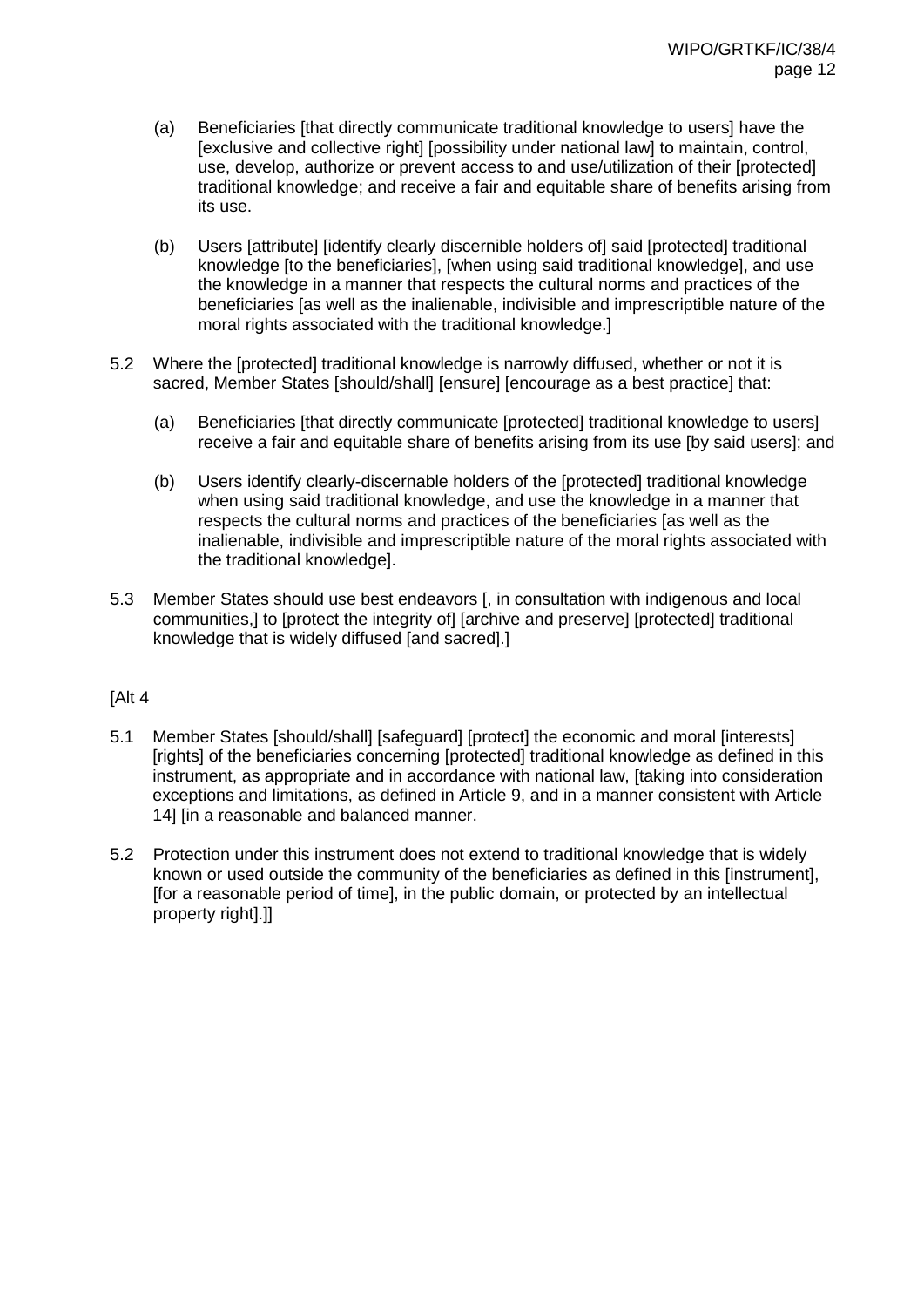- (a) Beneficiaries [that directly communicate traditional knowledge to users] have the [exclusive and collective right] [possibility under national law] to maintain, control, use, develop, authorize or prevent access to and use/utilization of their [protected] traditional knowledge; and receive a fair and equitable share of benefits arising from its use.
- (b) Users [attribute] [identify clearly discernible holders of] said [protected] traditional knowledge [to the beneficiaries], [when using said traditional knowledge], and use the knowledge in a manner that respects the cultural norms and practices of the beneficiaries [as well as the inalienable, indivisible and imprescriptible nature of the moral rights associated with the traditional knowledge.]
- 5.2 Where the [protected] traditional knowledge is narrowly diffused, whether or not it is sacred, Member States [should/shall] [ensure] [encourage as a best practice] that:
	- (a) Beneficiaries [that directly communicate [protected] traditional knowledge to users] receive a fair and equitable share of benefits arising from its use [by said users]; and
	- (b) Users identify clearly-discernable holders of the [protected] traditional knowledge when using said traditional knowledge, and use the knowledge in a manner that respects the cultural norms and practices of the beneficiaries [as well as the inalienable, indivisible and imprescriptible nature of the moral rights associated with the traditional knowledge].
- 5.3 Member States should use best endeavors [, in consultation with indigenous and local communities,] to [protect the integrity of] [archive and preserve] [protected] traditional knowledge that is widely diffused [and sacred].]

#### [Alt 4

- 5.1 Member States [should/shall] [safeguard] [protect] the economic and moral [interests] [rights] of the beneficiaries concerning [protected] traditional knowledge as defined in this instrument, as appropriate and in accordance with national law, [taking into consideration exceptions and limitations, as defined in Article 9, and in a manner consistent with Article 14] [in a reasonable and balanced manner.
- 5.2 Protection under this instrument does not extend to traditional knowledge that is widely known or used outside the community of the beneficiaries as defined in this [instrument], [for a reasonable period of time], in the public domain, or protected by an intellectual property right].]]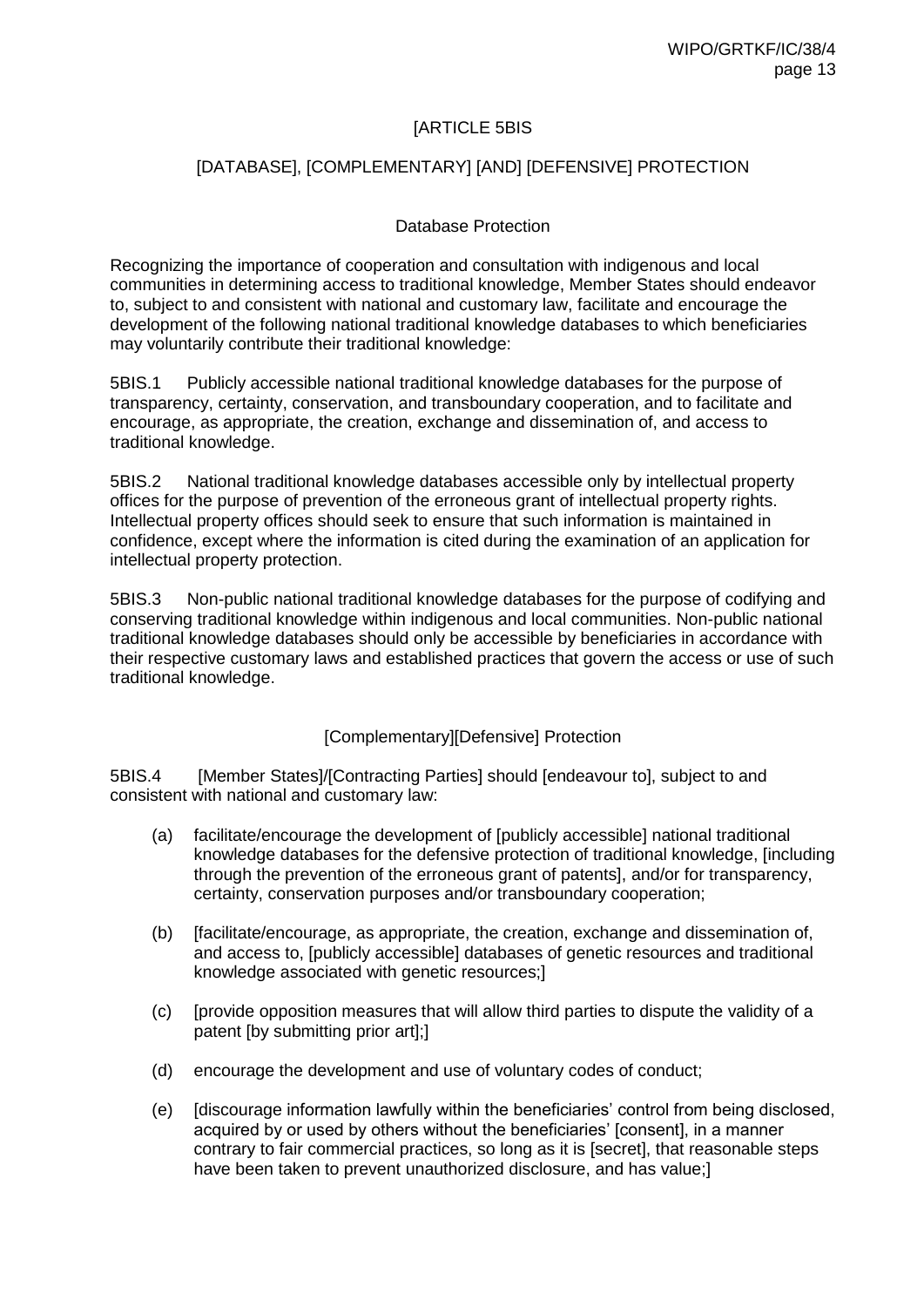### [ARTICLE 5BIS

### [DATABASE], [COMPLEMENTARY] [AND] [DEFENSIVE] PROTECTION

#### Database Protection

Recognizing the importance of cooperation and consultation with indigenous and local communities in determining access to traditional knowledge, Member States should endeavor to, subject to and consistent with national and customary law, facilitate and encourage the development of the following national traditional knowledge databases to which beneficiaries may voluntarily contribute their traditional knowledge:

5BIS.1 Publicly accessible national traditional knowledge databases for the purpose of transparency, certainty, conservation, and transboundary cooperation, and to facilitate and encourage, as appropriate, the creation, exchange and dissemination of, and access to traditional knowledge.

5BIS.2 National traditional knowledge databases accessible only by intellectual property offices for the purpose of prevention of the erroneous grant of intellectual property rights. Intellectual property offices should seek to ensure that such information is maintained in confidence, except where the information is cited during the examination of an application for intellectual property protection.

5BIS.3 Non-public national traditional knowledge databases for the purpose of codifying and conserving traditional knowledge within indigenous and local communities. Non-public national traditional knowledge databases should only be accessible by beneficiaries in accordance with their respective customary laws and established practices that govern the access or use of such traditional knowledge.

[Complementary][Defensive] Protection

5BIS.4 [Member States]/[Contracting Parties] should [endeavour to], subject to and consistent with national and customary law:

- (a) facilitate/encourage the development of [publicly accessible] national traditional knowledge databases for the defensive protection of traditional knowledge, [including through the prevention of the erroneous grant of patents], and/or for transparency, certainty, conservation purposes and/or transboundary cooperation;
- (b) [facilitate/encourage, as appropriate, the creation, exchange and dissemination of, and access to, [publicly accessible] databases of genetic resources and traditional knowledge associated with genetic resources;]
- (c) [provide opposition measures that will allow third parties to dispute the validity of a patent [by submitting prior art];]
- (d) encourage the development and use of voluntary codes of conduct;
- (e) [discourage information lawfully within the beneficiaries' control from being disclosed, acquired by or used by others without the beneficiaries' [consent], in a manner contrary to fair commercial practices, so long as it is [secret], that reasonable steps have been taken to prevent unauthorized disclosure, and has value;]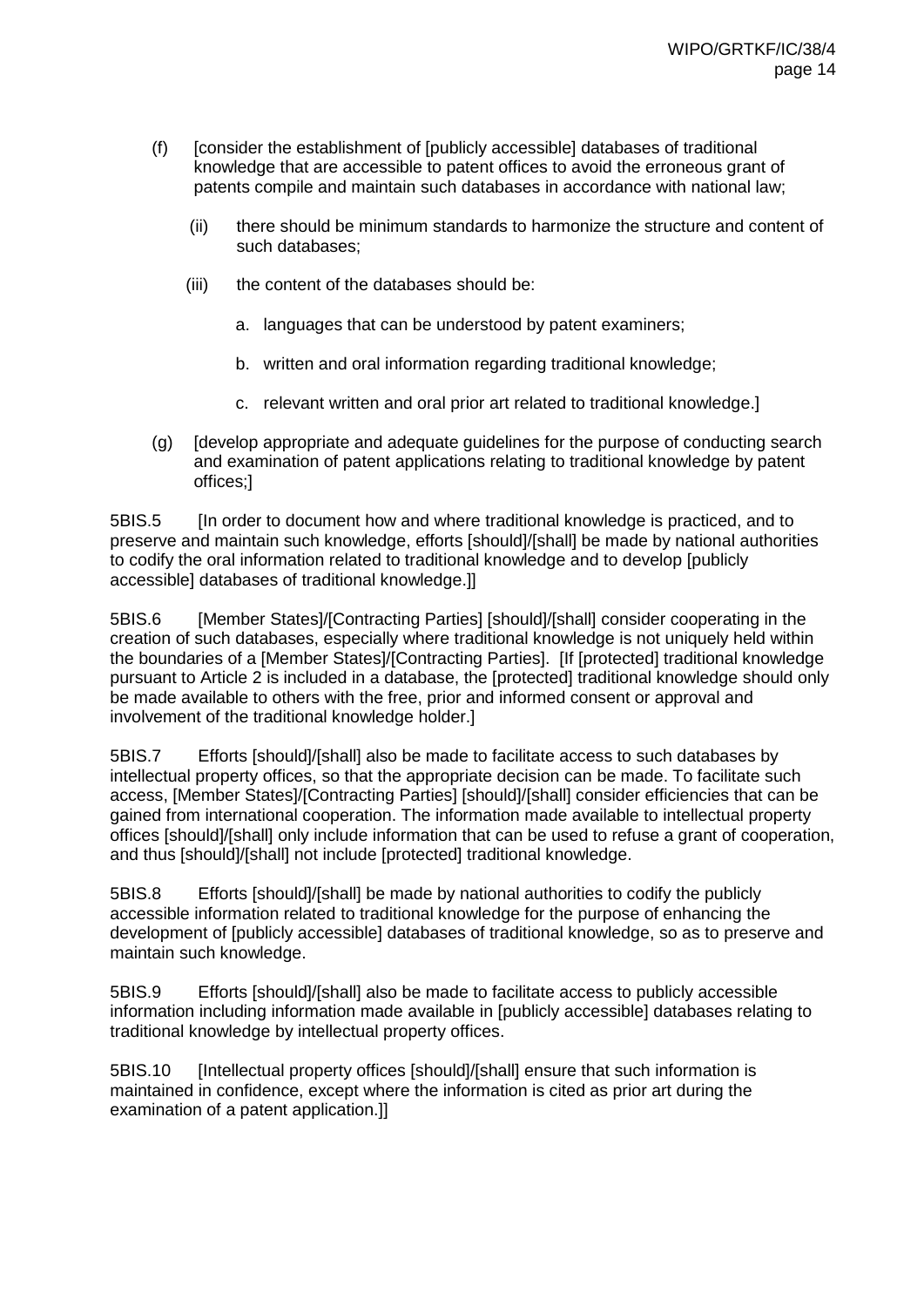- (f) [consider the establishment of [publicly accessible] databases of traditional knowledge that are accessible to patent offices to avoid the erroneous grant of patents compile and maintain such databases in accordance with national law;
	- (ii) there should be minimum standards to harmonize the structure and content of such databases;
	- (iii) the content of the databases should be:
		- a. languages that can be understood by patent examiners;
		- b. written and oral information regarding traditional knowledge;
		- c. relevant written and oral prior art related to traditional knowledge.]
- (g) [develop appropriate and adequate guidelines for the purpose of conducting search and examination of patent applications relating to traditional knowledge by patent offices;]

5BIS.5 [In order to document how and where traditional knowledge is practiced, and to preserve and maintain such knowledge, efforts [should]/[shall] be made by national authorities to codify the oral information related to traditional knowledge and to develop [publicly accessible] databases of traditional knowledge.]]

5BIS.6 [Member States]/[Contracting Parties] [should]/[shall] consider cooperating in the creation of such databases, especially where traditional knowledge is not uniquely held within the boundaries of a [Member States]/[Contracting Parties]. [If [protected] traditional knowledge pursuant to Article 2 is included in a database, the [protected] traditional knowledge should only be made available to others with the free, prior and informed consent or approval and involvement of the traditional knowledge holder.]

5BIS.7 Efforts [should]/[shall] also be made to facilitate access to such databases by intellectual property offices, so that the appropriate decision can be made. To facilitate such access, [Member States]/[Contracting Parties] [should]/[shall] consider efficiencies that can be gained from international cooperation. The information made available to intellectual property offices [should]/[shall] only include information that can be used to refuse a grant of cooperation, and thus [should]/[shall] not include [protected] traditional knowledge.

5BIS.8 Efforts [should]/[shall] be made by national authorities to codify the publicly accessible information related to traditional knowledge for the purpose of enhancing the development of [publicly accessible] databases of traditional knowledge, so as to preserve and maintain such knowledge.

5BIS.9 Efforts [should]/[shall] also be made to facilitate access to publicly accessible information including information made available in [publicly accessible] databases relating to traditional knowledge by intellectual property offices.

5BIS.10 [Intellectual property offices [should]/[shall] ensure that such information is maintained in confidence, except where the information is cited as prior art during the examination of a patent application.]]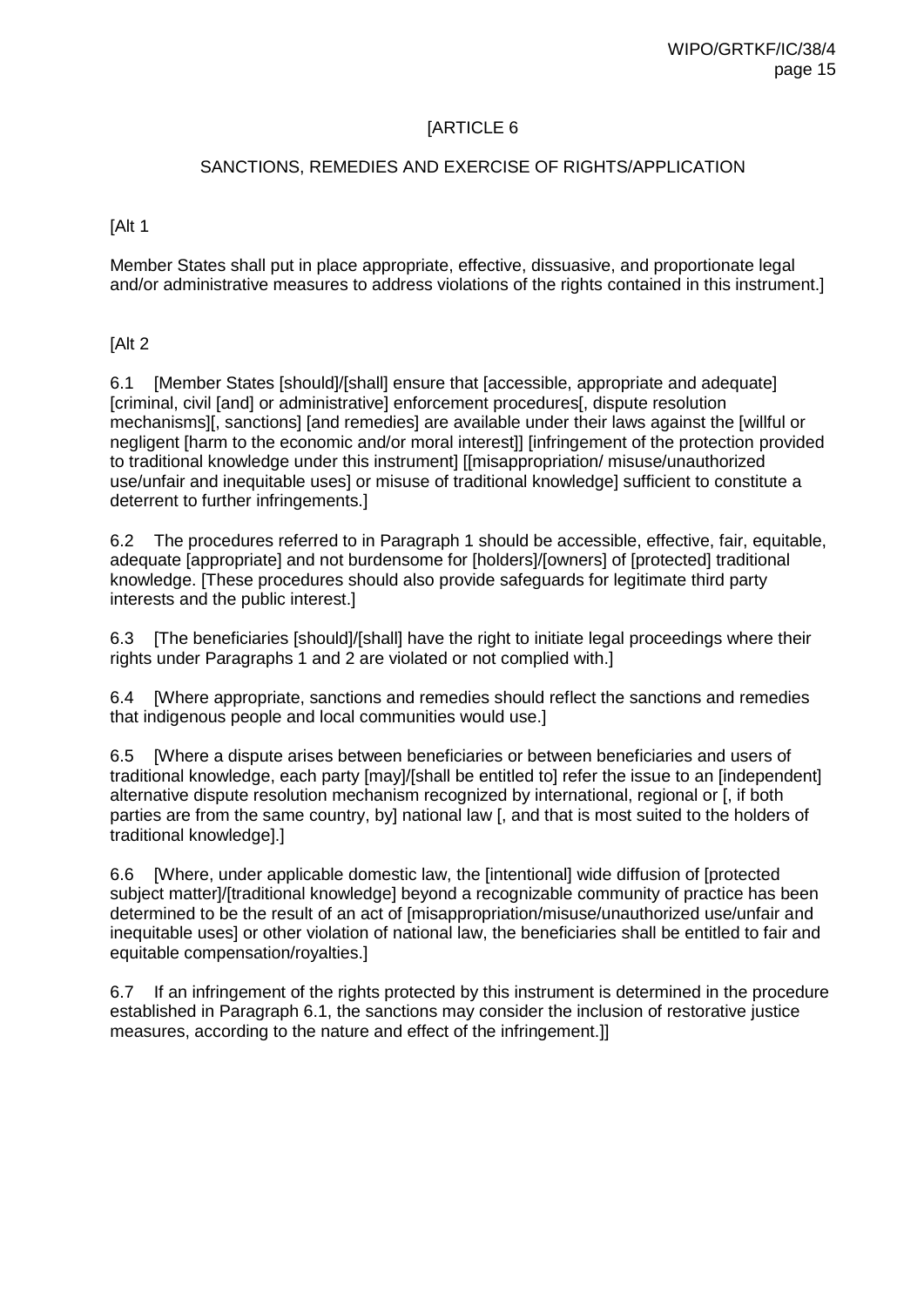### SANCTIONS, REMEDIES AND EXERCISE OF RIGHTS/APPLICATION

#### [Alt 1

Member States shall put in place appropriate, effective, dissuasive, and proportionate legal and/or administrative measures to address violations of the rights contained in this instrument.]

#### [Alt 2

6.1 [Member States [should]/[shall] ensure that [accessible, appropriate and adequate] [criminal, civil [and] or administrative] enforcement procedures[, dispute resolution mechanisms][, sanctions] [and remedies] are available under their laws against the [willful or negligent [harm to the economic and/or moral interest]] [infringement of the protection provided to traditional knowledge under this instrument] [[misappropriation/ misuse/unauthorized use/unfair and inequitable uses] or misuse of traditional knowledge] sufficient to constitute a deterrent to further infringements.]

6.2 The procedures referred to in Paragraph 1 should be accessible, effective, fair, equitable, adequate [appropriate] and not burdensome for [holders]/[owners] of [protected] traditional knowledge. [These procedures should also provide safeguards for legitimate third party interests and the public interest.]

6.3 [The beneficiaries [should]/[shall] have the right to initiate legal proceedings where their rights under Paragraphs 1 and 2 are violated or not complied with.]

6.4 [Where appropriate, sanctions and remedies should reflect the sanctions and remedies that indigenous people and local communities would use.]

6.5 [Where a dispute arises between beneficiaries or between beneficiaries and users of traditional knowledge, each party [may]/[shall be entitled to] refer the issue to an [independent] alternative dispute resolution mechanism recognized by international, regional or [, if both parties are from the same country, by] national law [, and that is most suited to the holders of traditional knowledge].]

6.6 [Where, under applicable domestic law, the [intentional] wide diffusion of [protected subject matter]/[traditional knowledge] beyond a recognizable community of practice has been determined to be the result of an act of [misappropriation/misuse/unauthorized use/unfair and inequitable uses] or other violation of national law, the beneficiaries shall be entitled to fair and equitable compensation/royalties.]

6.7 If an infringement of the rights protected by this instrument is determined in the procedure established in Paragraph 6.1, the sanctions may consider the inclusion of restorative justice measures, according to the nature and effect of the infringement.]]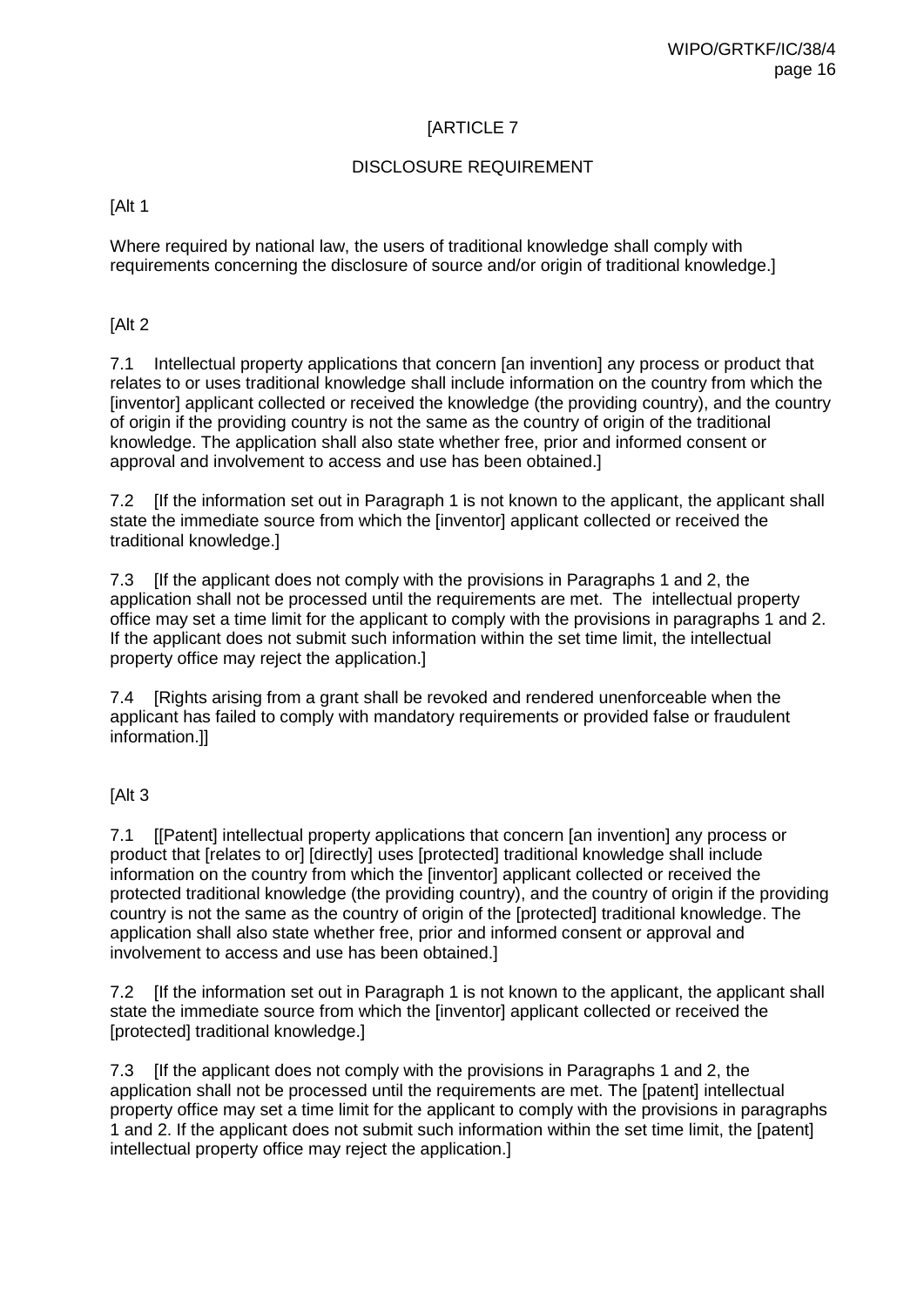### DISCLOSURE REQUIREMENT

[Alt 1

Where required by national law, the users of traditional knowledge shall comply with requirements concerning the disclosure of source and/or origin of traditional knowledge.]

[Alt 2

7.1 Intellectual property applications that concern [an invention] any process or product that relates to or uses traditional knowledge shall include information on the country from which the [inventor] applicant collected or received the knowledge (the providing country), and the country of origin if the providing country is not the same as the country of origin of the traditional knowledge. The application shall also state whether free, prior and informed consent or approval and involvement to access and use has been obtained.]

7.2 [If the information set out in Paragraph 1 is not known to the applicant, the applicant shall state the immediate source from which the [inventor] applicant collected or received the traditional knowledge.]

7.3 [If the applicant does not comply with the provisions in Paragraphs 1 and 2, the application shall not be processed until the requirements are met. The intellectual property office may set a time limit for the applicant to comply with the provisions in paragraphs 1 and 2. If the applicant does not submit such information within the set time limit, the intellectual property office may reject the application.]

7.4 [Rights arising from a grant shall be revoked and rendered unenforceable when the applicant has failed to comply with mandatory requirements or provided false or fraudulent information.]]

### [Alt 3]

7.1 [[Patent] intellectual property applications that concern [an invention] any process or product that [relates to or] [directly] uses [protected] traditional knowledge shall include information on the country from which the [inventor] applicant collected or received the protected traditional knowledge (the providing country), and the country of origin if the providing country is not the same as the country of origin of the [protected] traditional knowledge. The application shall also state whether free, prior and informed consent or approval and involvement to access and use has been obtained.]

7.2 If the information set out in Paragraph 1 is not known to the applicant, the applicant shall state the immediate source from which the [inventor] applicant collected or received the [protected] traditional knowledge.]

7.3 [If the applicant does not comply with the provisions in Paragraphs 1 and 2, the application shall not be processed until the requirements are met. The [patent] intellectual property office may set a time limit for the applicant to comply with the provisions in paragraphs 1 and 2. If the applicant does not submit such information within the set time limit, the [patent] intellectual property office may reject the application.]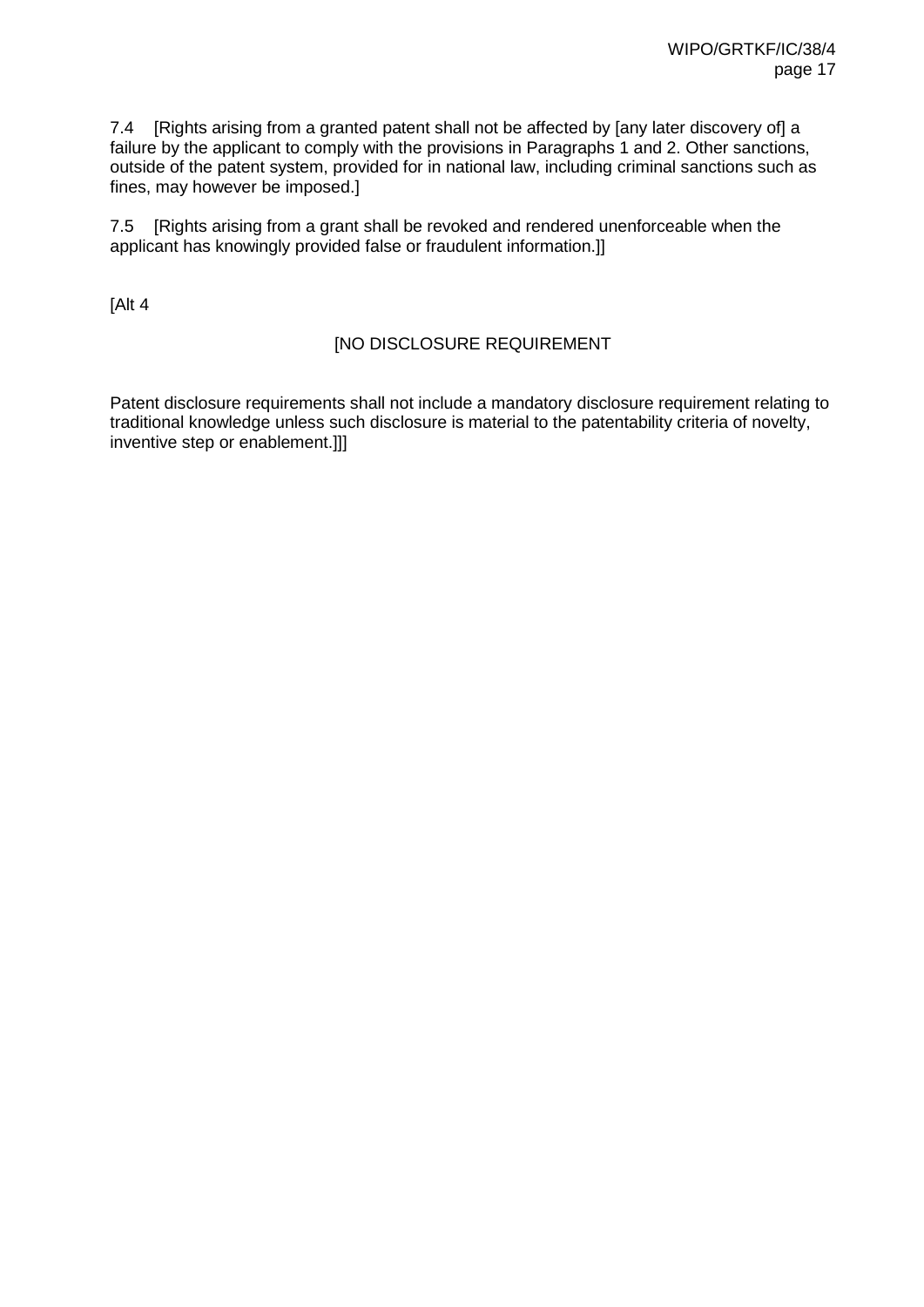7.4 [Rights arising from a granted patent shall not be affected by [any later discovery of] a failure by the applicant to comply with the provisions in Paragraphs 1 and 2. Other sanctions, outside of the patent system, provided for in national law, including criminal sanctions such as fines, may however be imposed.]

7.5 [Rights arising from a grant shall be revoked and rendered unenforceable when the applicant has knowingly provided false or fraudulent information.]]

[Alt 4

### [NO DISCLOSURE REQUIREMENT

Patent disclosure requirements shall not include a mandatory disclosure requirement relating to traditional knowledge unless such disclosure is material to the patentability criteria of novelty, inventive step or enablement.]]]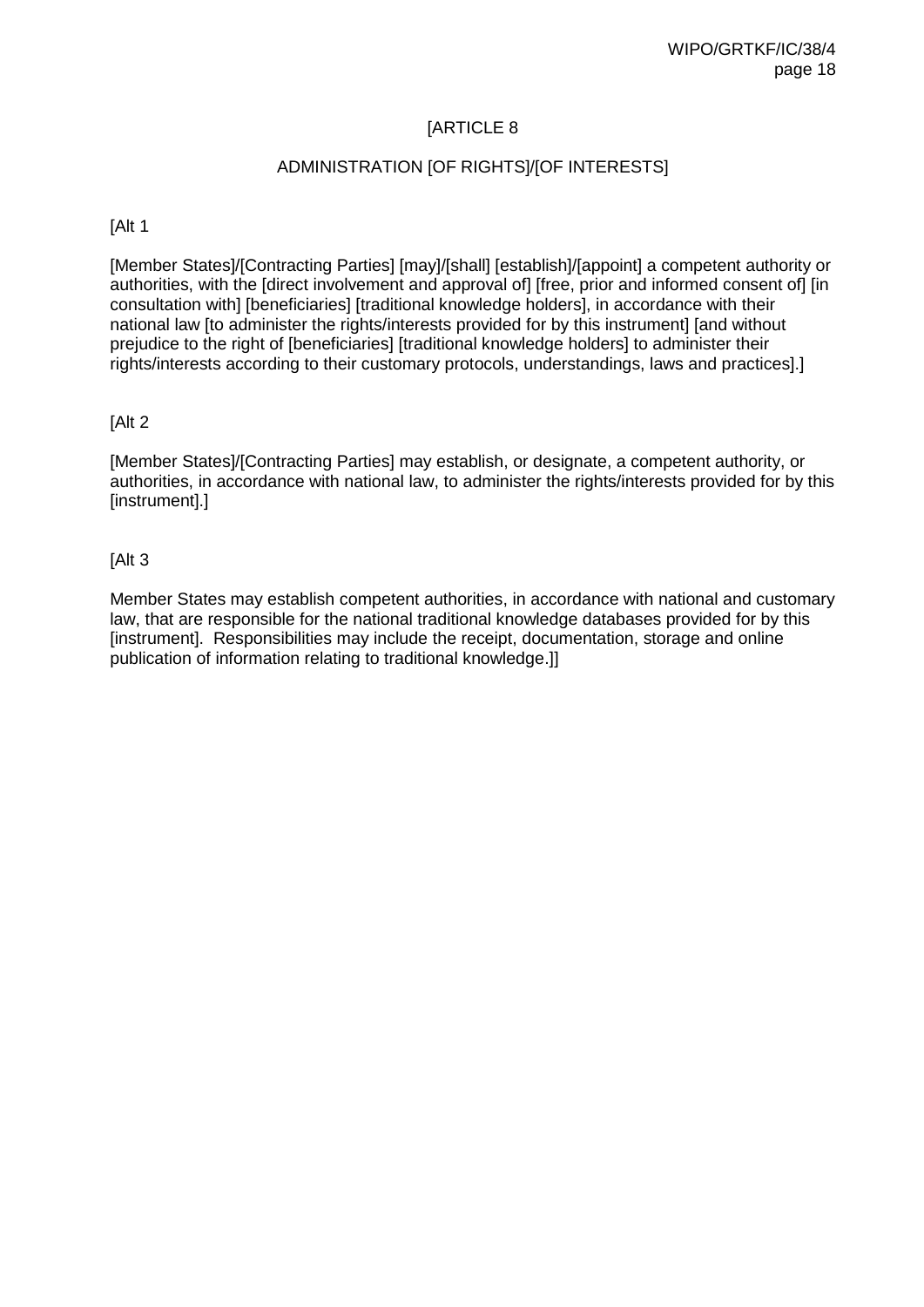### ADMINISTRATION [OF RIGHTS]/[OF INTERESTS]

[Alt 1

[Member States]/[Contracting Parties] [may]/[shall] [establish]/[appoint] a competent authority or authorities, with the [direct involvement and approval of] [free, prior and informed consent of] [in consultation with] [beneficiaries] [traditional knowledge holders], in accordance with their national law [to administer the rights/interests provided for by this instrument] [and without prejudice to the right of [beneficiaries] [traditional knowledge holders] to administer their rights/interests according to their customary protocols, understandings, laws and practices].]

#### [Alt 2

[Member States]/[Contracting Parties] may establish, or designate, a competent authority, or authorities, in accordance with national law, to administer the rights/interests provided for by this [instrument].]

[Alt 3

Member States may establish competent authorities, in accordance with national and customary law, that are responsible for the national traditional knowledge databases provided for by this [instrument]. Responsibilities may include the receipt, documentation, storage and online publication of information relating to traditional knowledge.]]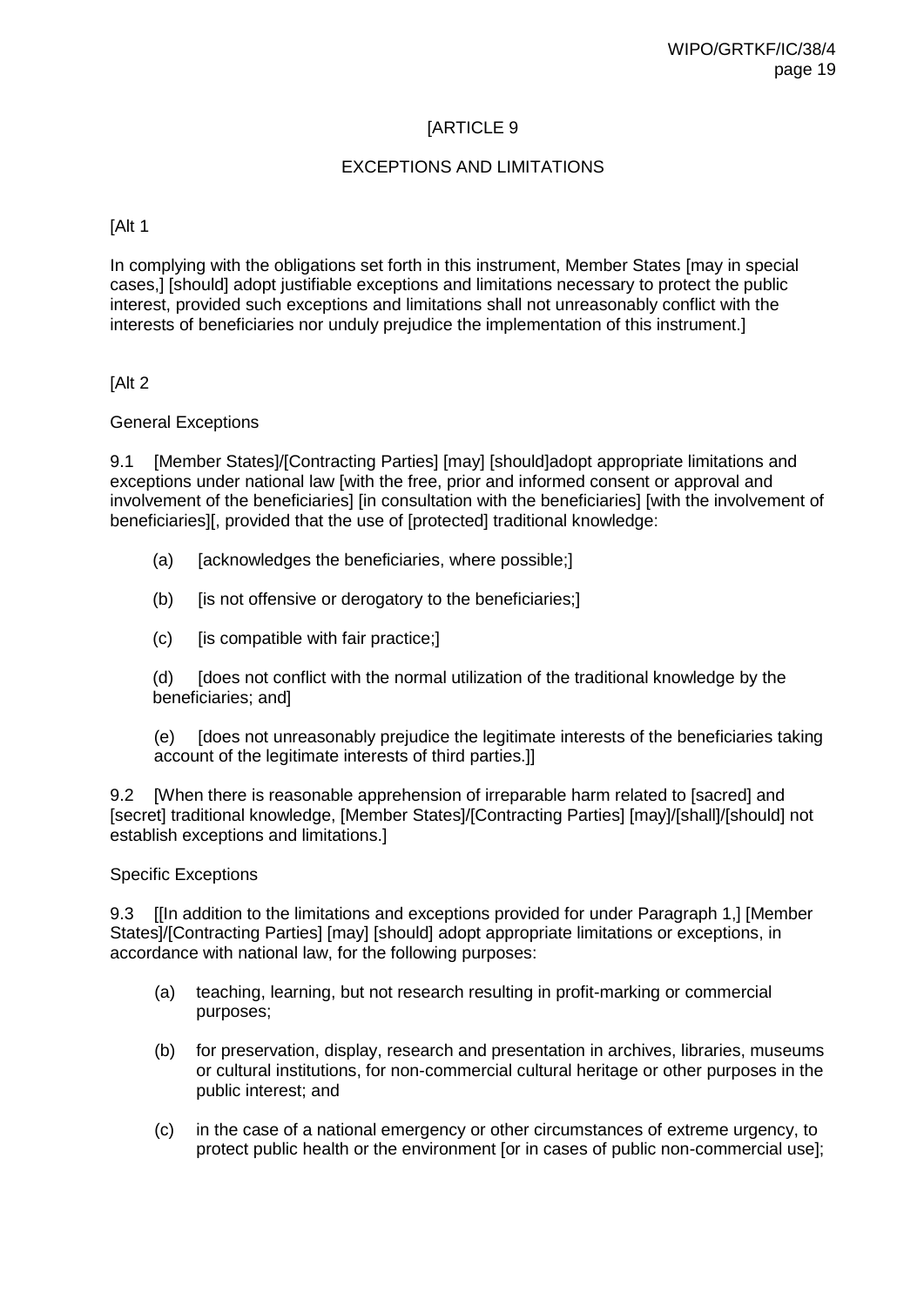### EXCEPTIONS AND LIMITATIONS

#### [Alt 1

In complying with the obligations set forth in this instrument, Member States [may in special cases,] [should] adopt justifiable exceptions and limitations necessary to protect the public interest, provided such exceptions and limitations shall not unreasonably conflict with the interests of beneficiaries nor unduly prejudice the implementation of this instrument.]

[Alt 2

#### General Exceptions

9.1 [Member States]/[Contracting Parties] [may] [should]adopt appropriate limitations and exceptions under national law [with the free, prior and informed consent or approval and involvement of the beneficiaries] [in consultation with the beneficiaries] [with the involvement of beneficiaries][, provided that the use of [protected] traditional knowledge:

- (a) [acknowledges the beneficiaries, where possible;]
- (b) [is not offensive or derogatory to the beneficiaries;]
- $(c)$  [is compatible with fair practice;]

(d) [does not conflict with the normal utilization of the traditional knowledge by the beneficiaries; and]

(e) [does not unreasonably prejudice the legitimate interests of the beneficiaries taking account of the legitimate interests of third parties.]]

9.2 [When there is reasonable apprehension of irreparable harm related to [sacred] and [secret] traditional knowledge, [Member States]/[Contracting Parties] [may]/[shall]/[should] not establish exceptions and limitations.]

#### Specific Exceptions

9.3 [[In addition to the limitations and exceptions provided for under Paragraph 1,] [Member States]/[Contracting Parties] [may] [should] adopt appropriate limitations or exceptions, in accordance with national law, for the following purposes:

- (a) teaching, learning, but not research resulting in profit-marking or commercial purposes;
- (b) for preservation, display, research and presentation in archives, libraries, museums or cultural institutions, for non-commercial cultural heritage or other purposes in the public interest; and
- (c) in the case of a national emergency or other circumstances of extreme urgency, to protect public health or the environment [or in cases of public non-commercial use];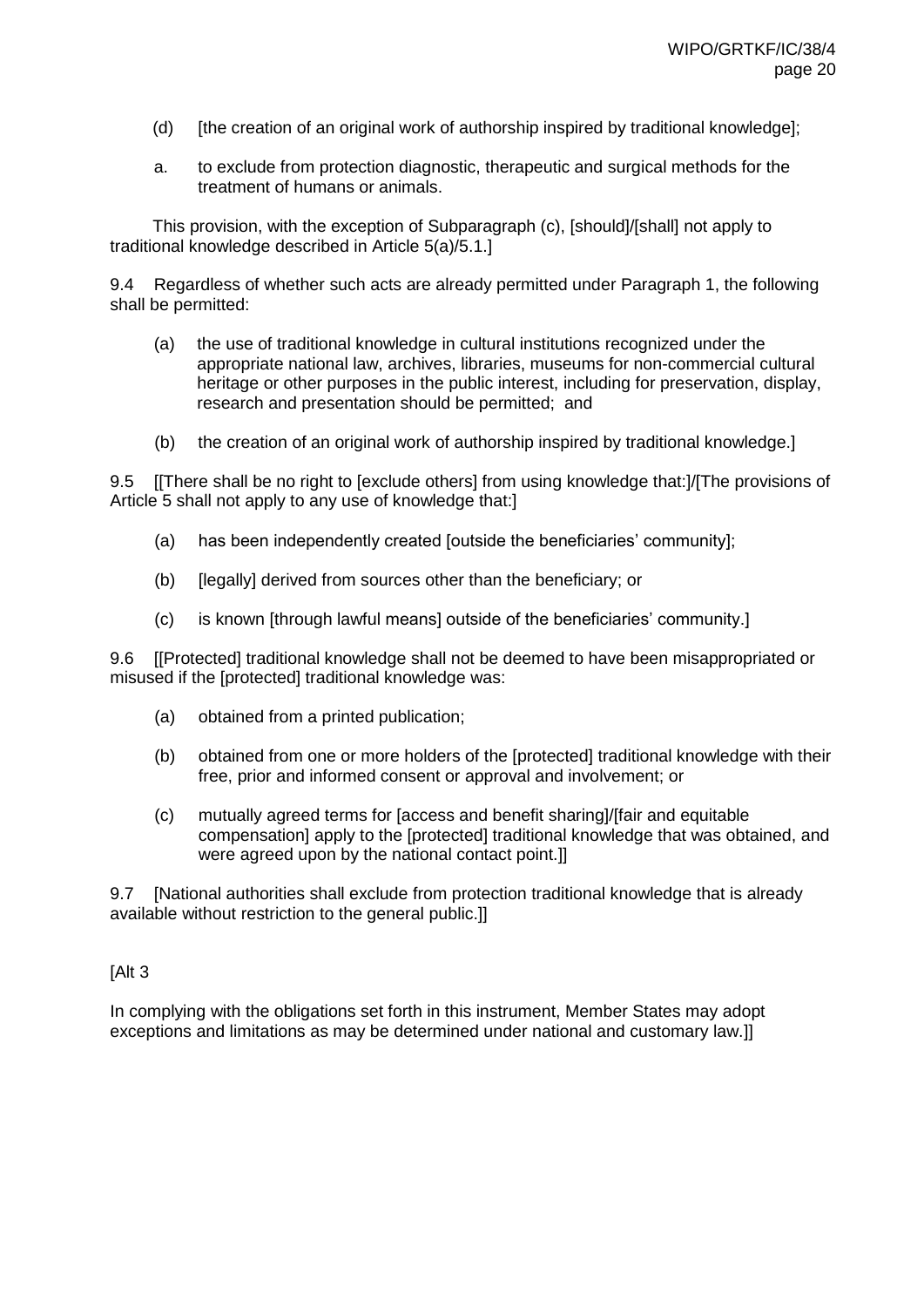- (d) [the creation of an original work of authorship inspired by traditional knowledge];
- a. to exclude from protection diagnostic, therapeutic and surgical methods for the treatment of humans or animals.

This provision, with the exception of Subparagraph (c), [should]/[shall] not apply to traditional knowledge described in Article 5(a)/5.1.]

9.4 Regardless of whether such acts are already permitted under Paragraph 1, the following shall be permitted:

- (a) the use of traditional knowledge in cultural institutions recognized under the appropriate national law, archives, libraries, museums for non-commercial cultural heritage or other purposes in the public interest, including for preservation, display, research and presentation should be permitted; and
- (b) the creation of an original work of authorship inspired by traditional knowledge.]

9.5 [[There shall be no right to [exclude others] from using knowledge that:]/[The provisions of Article 5 shall not apply to any use of knowledge that:]

- (a) has been independently created [outside the beneficiaries' community];
- (b) [legally] derived from sources other than the beneficiary; or
- (c) is known [through lawful means] outside of the beneficiaries' community.]

9.6 [[Protected] traditional knowledge shall not be deemed to have been misappropriated or misused if the [protected] traditional knowledge was:

- (a) obtained from a printed publication;
- (b) obtained from one or more holders of the [protected] traditional knowledge with their free, prior and informed consent or approval and involvement; or
- (c) mutually agreed terms for [access and benefit sharing]/[fair and equitable compensation] apply to the [protected] traditional knowledge that was obtained, and were agreed upon by the national contact point.]

9.7 [National authorities shall exclude from protection traditional knowledge that is already available without restriction to the general public.]]

### [Alt 3

In complying with the obligations set forth in this instrument, Member States may adopt exceptions and limitations as may be determined under national and customary law.]]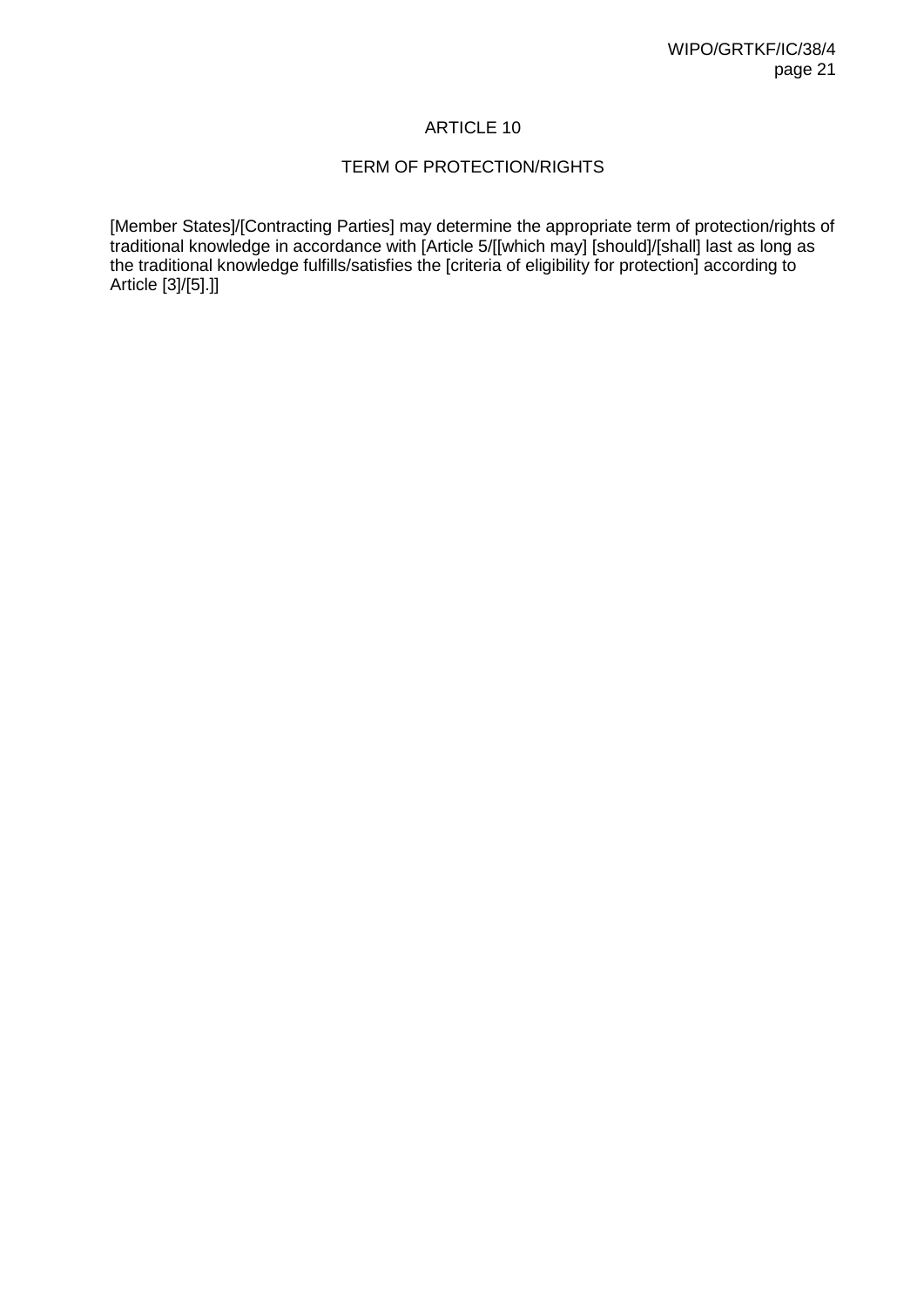### TERM OF PROTECTION/RIGHTS

[Member States]/[Contracting Parties] may determine the appropriate term of protection/rights of traditional knowledge in accordance with [Article 5/[[which may] [should]/[shall] last as long as the traditional knowledge fulfills/satisfies the [criteria of eligibility for protection] according to Article [3]/[5].]]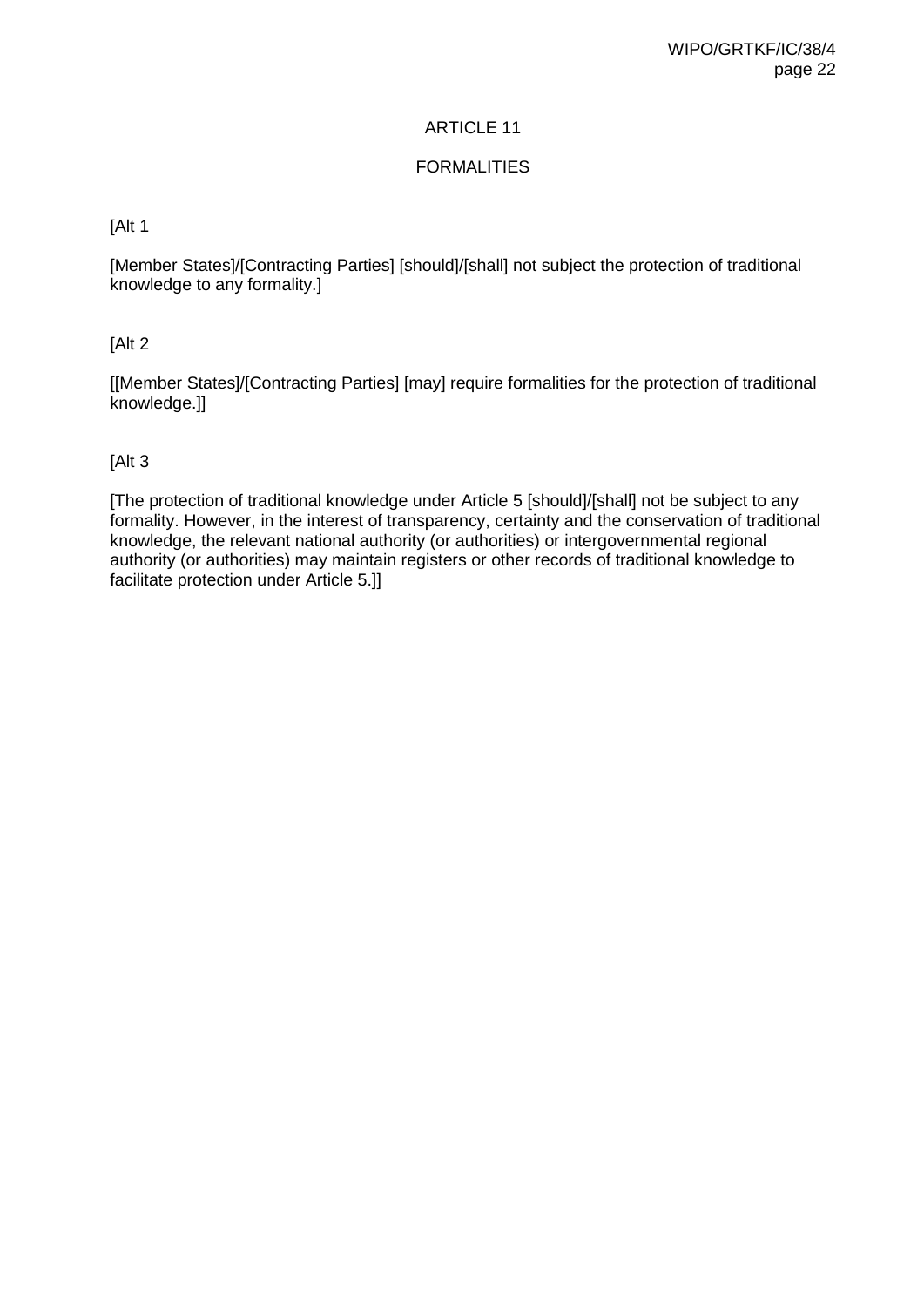### FORMALITIES

### [Alt 1

[Member States]/[Contracting Parties] [should]/[shall] not subject the protection of traditional knowledge to any formality.]

### [Alt 2

[[Member States]/[Contracting Parties] [may] require formalities for the protection of traditional knowledge.]]

### [Alt 3

[The protection of traditional knowledge under Article 5 [should]/[shall] not be subject to any formality. However, in the interest of transparency, certainty and the conservation of traditional knowledge, the relevant national authority (or authorities) or intergovernmental regional authority (or authorities) may maintain registers or other records of traditional knowledge to facilitate protection under Article 5.]]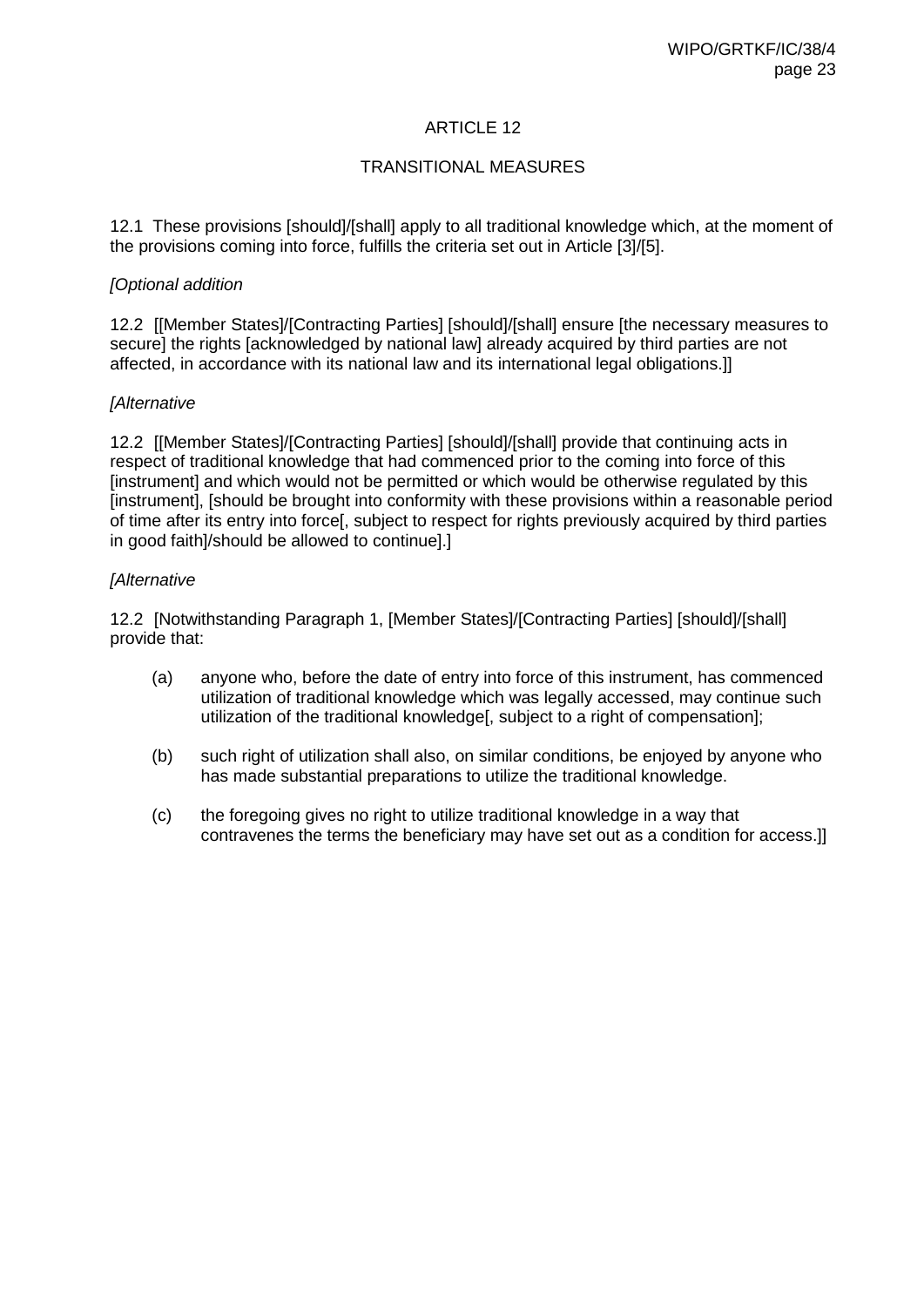### TRANSITIONAL MEASURES

12.1 These provisions [should]/[shall] apply to all traditional knowledge which, at the moment of the provisions coming into force, fulfills the criteria set out in Article [3]/[5].

#### *[Optional addition*

12.2 [[Member States]/[Contracting Parties] [should]/[shall] ensure [the necessary measures to secure] the rights [acknowledged by national law] already acquired by third parties are not affected, in accordance with its national law and its international legal obligations.]]

#### *[Alternative*

12.2 [[Member States]/[Contracting Parties] [should]/[shall] provide that continuing acts in respect of traditional knowledge that had commenced prior to the coming into force of this [instrument] and which would not be permitted or which would be otherwise regulated by this [instrument], [should be brought into conformity with these provisions within a reasonable period of time after its entry into force[, subject to respect for rights previously acquired by third parties in good faith]/should be allowed to continue].]

#### *[Alternative*

12.2 [Notwithstanding Paragraph 1, [Member States]/[Contracting Parties] [should]/[shall] provide that:

- (a) anyone who, before the date of entry into force of this instrument, has commenced utilization of traditional knowledge which was legally accessed, may continue such utilization of the traditional knowledge[, subject to a right of compensation];
- (b) such right of utilization shall also, on similar conditions, be enjoyed by anyone who has made substantial preparations to utilize the traditional knowledge.
- (c) the foregoing gives no right to utilize traditional knowledge in a way that contravenes the terms the beneficiary may have set out as a condition for access.]]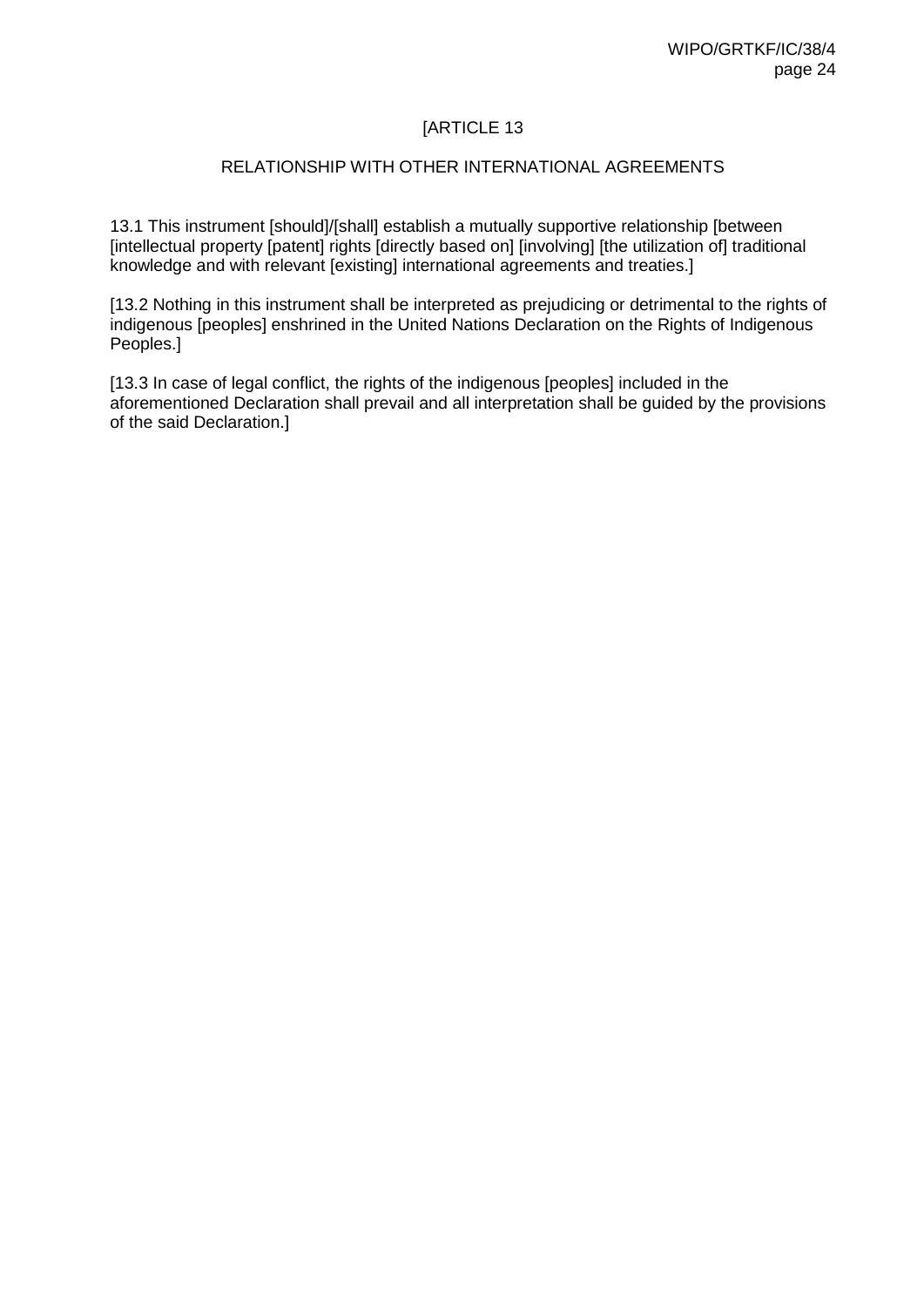#### RELATIONSHIP WITH OTHER INTERNATIONAL AGREEMENTS

13.1 This instrument [should]/[shall] establish a mutually supportive relationship [between [intellectual property [patent] rights [directly based on] [involving] [the utilization of] traditional knowledge and with relevant [existing] international agreements and treaties.]

[13.2 Nothing in this instrument shall be interpreted as prejudicing or detrimental to the rights of indigenous [peoples] enshrined in the United Nations Declaration on the Rights of Indigenous Peoples.]

[13.3 In case of legal conflict, the rights of the indigenous [peoples] included in the aforementioned Declaration shall prevail and all interpretation shall be guided by the provisions of the said Declaration.]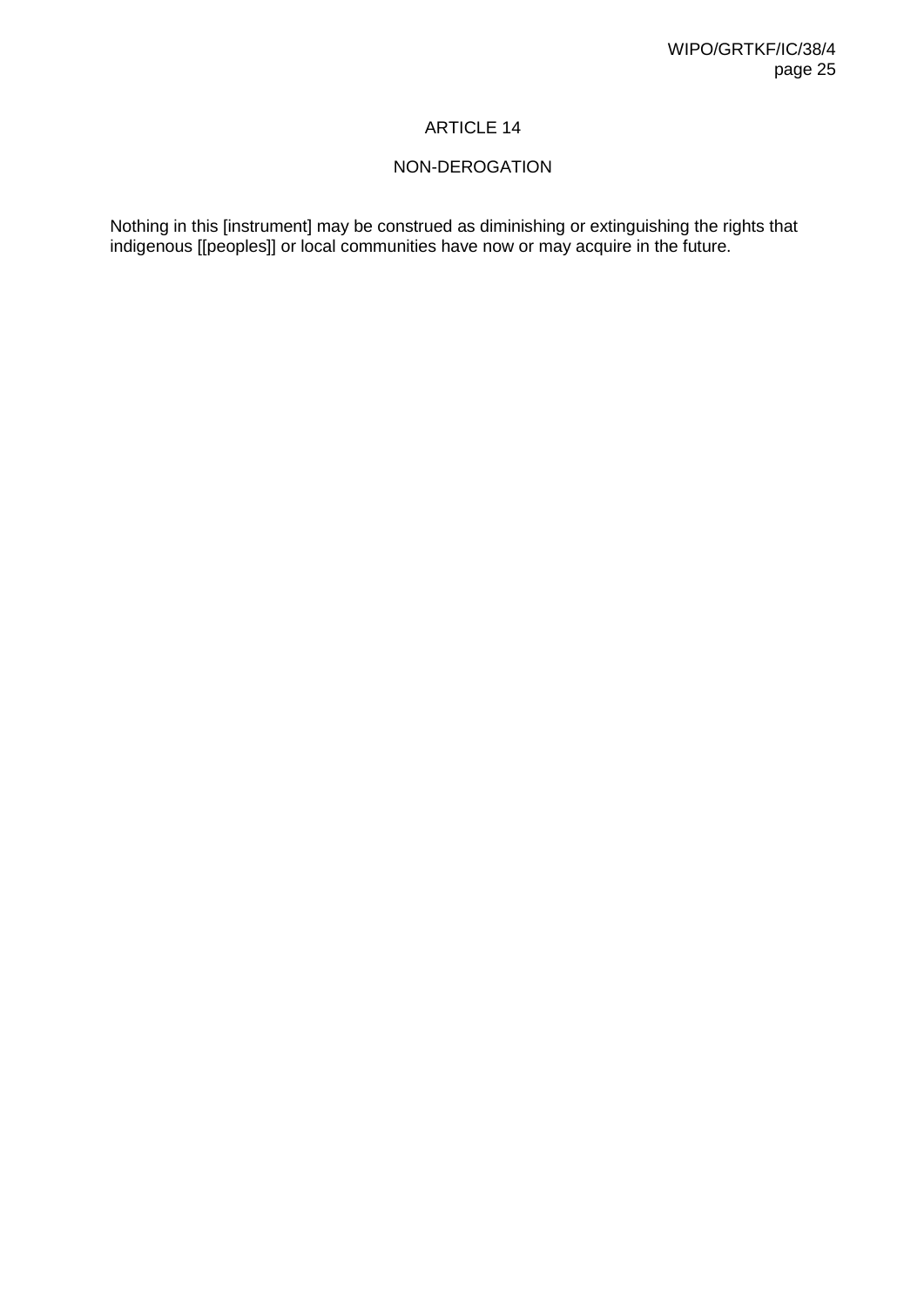### NON-DEROGATION

Nothing in this [instrument] may be construed as diminishing or extinguishing the rights that indigenous [[peoples]] or local communities have now or may acquire in the future.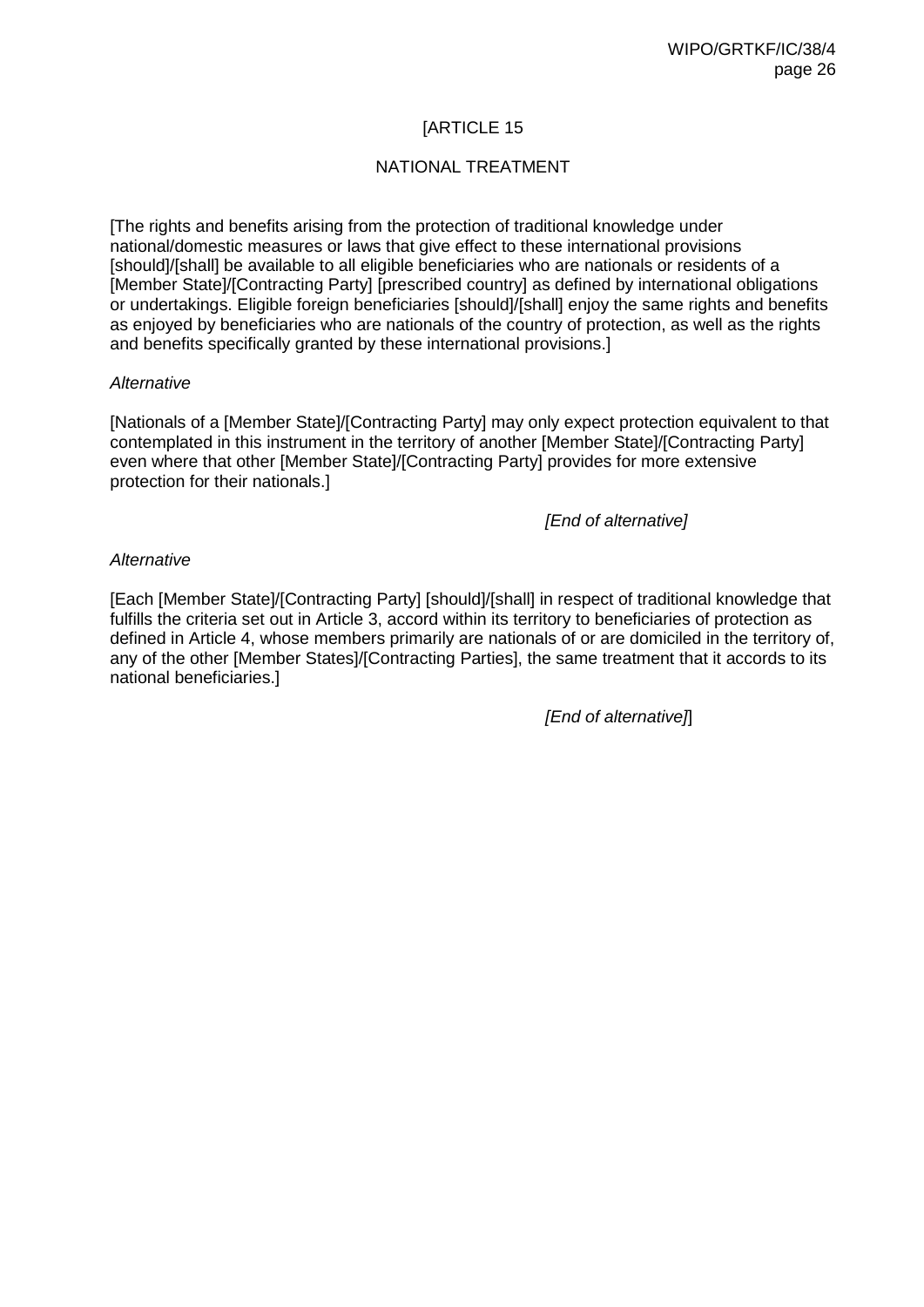### NATIONAL TREATMENT

[The rights and benefits arising from the protection of traditional knowledge under national/domestic measures or laws that give effect to these international provisions [should]/[shall] be available to all eligible beneficiaries who are nationals or residents of a [Member State]/[Contracting Party] [prescribed country] as defined by international obligations or undertakings. Eligible foreign beneficiaries [should]/[shall] enjoy the same rights and benefits as enjoyed by beneficiaries who are nationals of the country of protection, as well as the rights and benefits specifically granted by these international provisions.]

#### *Alternative*

[Nationals of a [Member State]/[Contracting Party] may only expect protection equivalent to that contemplated in this instrument in the territory of another [Member State]/[Contracting Party] even where that other [Member State]/[Contracting Party] provides for more extensive protection for their nationals.]

#### *[End of alternative]*

#### *Alternative*

[Each [Member State]/[Contracting Party] [should]/[shall] in respect of traditional knowledge that fulfills the criteria set out in Article 3, accord within its territory to beneficiaries of protection as defined in Article 4, whose members primarily are nationals of or are domiciled in the territory of, any of the other [Member States]/[Contracting Parties], the same treatment that it accords to its national beneficiaries.]

*[End of alternative]*]